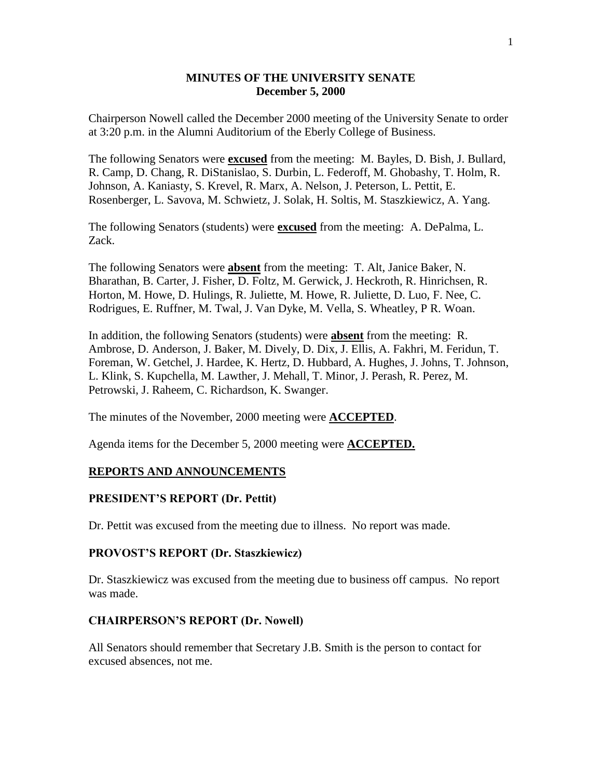# **MINUTES OF THE UNIVERSITY SENATE December 5, 2000**

Chairperson Nowell called the December 2000 meeting of the University Senate to order at 3:20 p.m. in the Alumni Auditorium of the Eberly College of Business.

The following Senators were **excused** from the meeting: M. Bayles, D. Bish, J. Bullard, R. Camp, D. Chang, R. DiStanislao, S. Durbin, L. Federoff, M. Ghobashy, T. Holm, R. Johnson, A. Kaniasty, S. Krevel, R. Marx, A. Nelson, J. Peterson, L. Pettit, E. Rosenberger, L. Savova, M. Schwietz, J. Solak, H. Soltis, M. Staszkiewicz, A. Yang.

The following Senators (students) were **excused** from the meeting: A. DePalma, L. Zack.

The following Senators were **absent** from the meeting: T. Alt, Janice Baker, N. Bharathan, B. Carter, J. Fisher, D. Foltz, M. Gerwick, J. Heckroth, R. Hinrichsen, R. Horton, M. Howe, D. Hulings, R. Juliette, M. Howe, R. Juliette, D. Luo, F. Nee, C. Rodrigues, E. Ruffner, M. Twal, J. Van Dyke, M. Vella, S. Wheatley, P R. Woan.

In addition, the following Senators (students) were **absent** from the meeting: R. Ambrose, D. Anderson, J. Baker, M. Dively, D. Dix, J. Ellis, A. Fakhri, M. Feridun, T. Foreman, W. Getchel, J. Hardee, K. Hertz, D. Hubbard, A. Hughes, J. Johns, T. Johnson, L. Klink, S. Kupchella, M. Lawther, J. Mehall, T. Minor, J. Perash, R. Perez, M. Petrowski, J. Raheem, C. Richardson, K. Swanger.

The minutes of the November, 2000 meeting were **ACCEPTED**.

Agenda items for the December 5, 2000 meeting were **ACCEPTED.**

### **REPORTS AND ANNOUNCEMENTS**

#### **PRESIDENT'S REPORT (Dr. Pettit)**

Dr. Pettit was excused from the meeting due to illness. No report was made.

#### **PROVOST'S REPORT (Dr. Staszkiewicz)**

Dr. Staszkiewicz was excused from the meeting due to business off campus. No report was made.

#### **CHAIRPERSON'S REPORT (Dr. Nowell)**

All Senators should remember that Secretary J.B. Smith is the person to contact for excused absences, not me.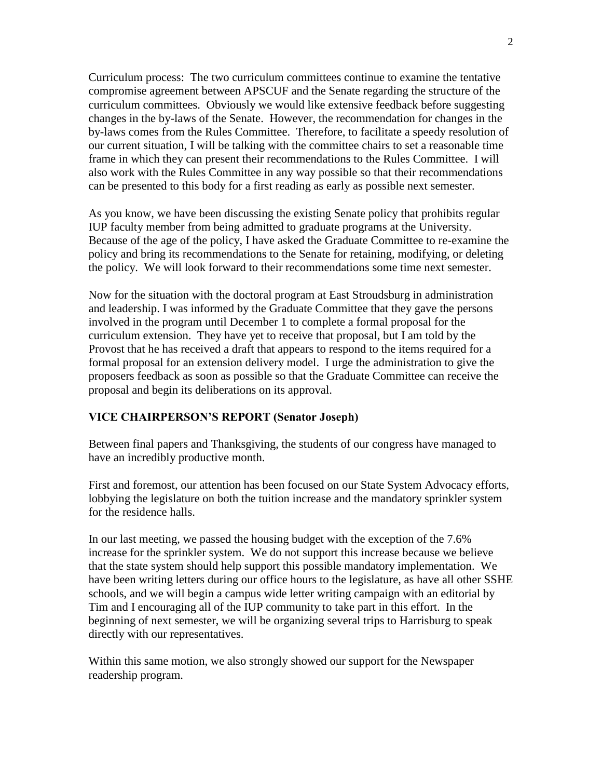Curriculum process: The two curriculum committees continue to examine the tentative compromise agreement between APSCUF and the Senate regarding the structure of the curriculum committees. Obviously we would like extensive feedback before suggesting changes in the by-laws of the Senate. However, the recommendation for changes in the by-laws comes from the Rules Committee. Therefore, to facilitate a speedy resolution of our current situation, I will be talking with the committee chairs to set a reasonable time frame in which they can present their recommendations to the Rules Committee. I will also work with the Rules Committee in any way possible so that their recommendations can be presented to this body for a first reading as early as possible next semester.

As you know, we have been discussing the existing Senate policy that prohibits regular IUP faculty member from being admitted to graduate programs at the University. Because of the age of the policy, I have asked the Graduate Committee to re-examine the policy and bring its recommendations to the Senate for retaining, modifying, or deleting the policy. We will look forward to their recommendations some time next semester.

Now for the situation with the doctoral program at East Stroudsburg in administration and leadership. I was informed by the Graduate Committee that they gave the persons involved in the program until December 1 to complete a formal proposal for the curriculum extension. They have yet to receive that proposal, but I am told by the Provost that he has received a draft that appears to respond to the items required for a formal proposal for an extension delivery model. I urge the administration to give the proposers feedback as soon as possible so that the Graduate Committee can receive the proposal and begin its deliberations on its approval.

# **VICE CHAIRPERSON'S REPORT (Senator Joseph)**

Between final papers and Thanksgiving, the students of our congress have managed to have an incredibly productive month.

First and foremost, our attention has been focused on our State System Advocacy efforts, lobbying the legislature on both the tuition increase and the mandatory sprinkler system for the residence halls.

In our last meeting, we passed the housing budget with the exception of the 7.6% increase for the sprinkler system. We do not support this increase because we believe that the state system should help support this possible mandatory implementation. We have been writing letters during our office hours to the legislature, as have all other SSHE schools, and we will begin a campus wide letter writing campaign with an editorial by Tim and I encouraging all of the IUP community to take part in this effort. In the beginning of next semester, we will be organizing several trips to Harrisburg to speak directly with our representatives.

Within this same motion, we also strongly showed our support for the Newspaper readership program.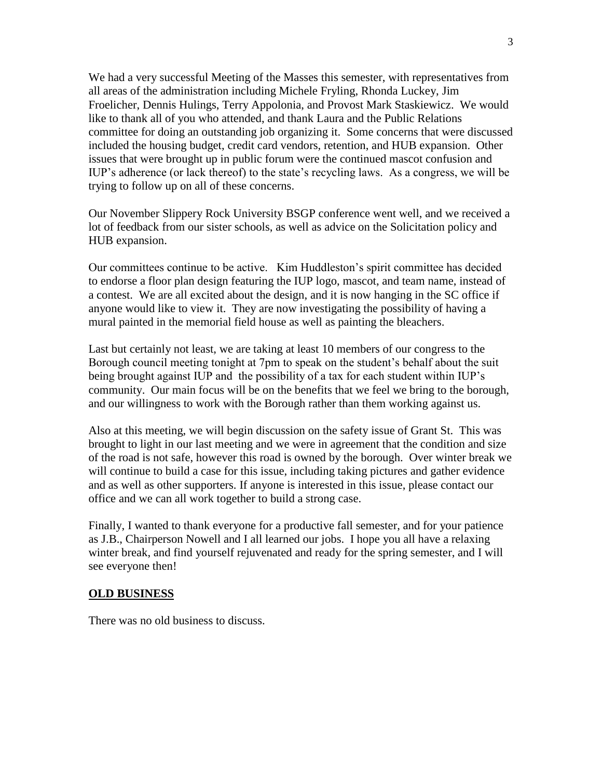We had a very successful Meeting of the Masses this semester, with representatives from all areas of the administration including Michele Fryling, Rhonda Luckey, Jim Froelicher, Dennis Hulings, Terry Appolonia, and Provost Mark Staskiewicz. We would like to thank all of you who attended, and thank Laura and the Public Relations committee for doing an outstanding job organizing it. Some concerns that were discussed included the housing budget, credit card vendors, retention, and HUB expansion. Other issues that were brought up in public forum were the continued mascot confusion and IUP's adherence (or lack thereof) to the state's recycling laws. As a congress, we will be trying to follow up on all of these concerns.

Our November Slippery Rock University BSGP conference went well, and we received a lot of feedback from our sister schools, as well as advice on the Solicitation policy and HUB expansion.

Our committees continue to be active. Kim Huddleston's spirit committee has decided to endorse a floor plan design featuring the IUP logo, mascot, and team name, instead of a contest. We are all excited about the design, and it is now hanging in the SC office if anyone would like to view it. They are now investigating the possibility of having a mural painted in the memorial field house as well as painting the bleachers.

Last but certainly not least, we are taking at least 10 members of our congress to the Borough council meeting tonight at 7pm to speak on the student's behalf about the suit being brought against IUP and the possibility of a tax for each student within IUP's community. Our main focus will be on the benefits that we feel we bring to the borough, and our willingness to work with the Borough rather than them working against us.

Also at this meeting, we will begin discussion on the safety issue of Grant St. This was brought to light in our last meeting and we were in agreement that the condition and size of the road is not safe, however this road is owned by the borough. Over winter break we will continue to build a case for this issue, including taking pictures and gather evidence and as well as other supporters. If anyone is interested in this issue, please contact our office and we can all work together to build a strong case.

Finally, I wanted to thank everyone for a productive fall semester, and for your patience as J.B., Chairperson Nowell and I all learned our jobs. I hope you all have a relaxing winter break, and find yourself rejuvenated and ready for the spring semester, and I will see everyone then!

### **OLD BUSINESS**

There was no old business to discuss.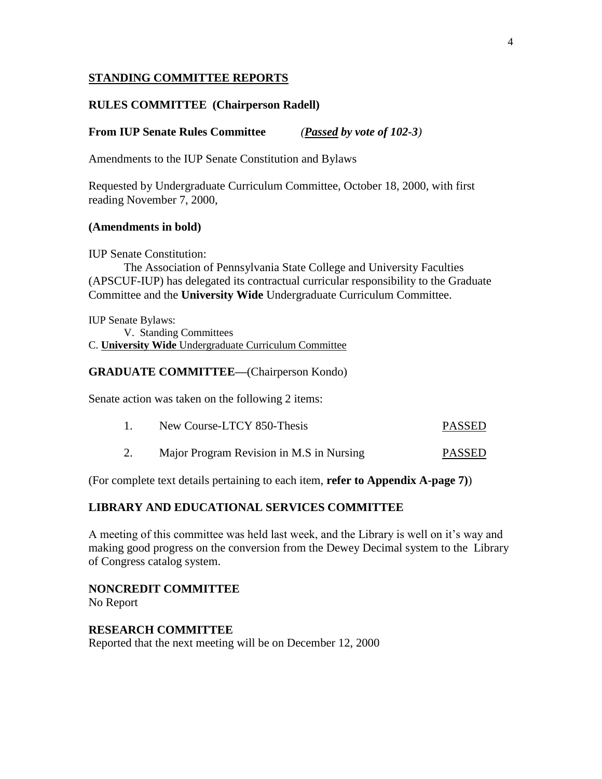# **STANDING COMMITTEE REPORTS**

# **RULES COMMITTEE (Chairperson Radell)**

# **From IUP Senate Rules Committee** *(Passed by vote of 102-3)*

Amendments to the IUP Senate Constitution and Bylaws

Requested by Undergraduate Curriculum Committee, October 18, 2000, with first reading November 7, 2000,

### **(Amendments in bold)**

IUP Senate Constitution:

The Association of Pennsylvania State College and University Faculties (APSCUF-IUP) has delegated its contractual curricular responsibility to the Graduate Committee and the **University Wide** Undergraduate Curriculum Committee.

IUP Senate Bylaws: V. Standing Committees C. **University Wide** Undergraduate Curriculum Committee

### **GRADUATE COMMITTEE—**(Chairperson Kondo)

Senate action was taken on the following 2 items:

| New Course-LTCY 850-Thesis | <b>PASSED</b> |
|----------------------------|---------------|
|                            |               |

2. Major Program Revision in M.S in Nursing PASSED

(For complete text details pertaining to each item, **refer to Appendix A-page 7)**)

### **LIBRARY AND EDUCATIONAL SERVICES COMMITTEE**

A meeting of this committee was held last week, and the Library is well on it's way and making good progress on the conversion from the Dewey Decimal system to the Library of Congress catalog system.

**NONCREDIT COMMITTEE** No Report

**RESEARCH COMMITTEE** Reported that the next meeting will be on December 12, 2000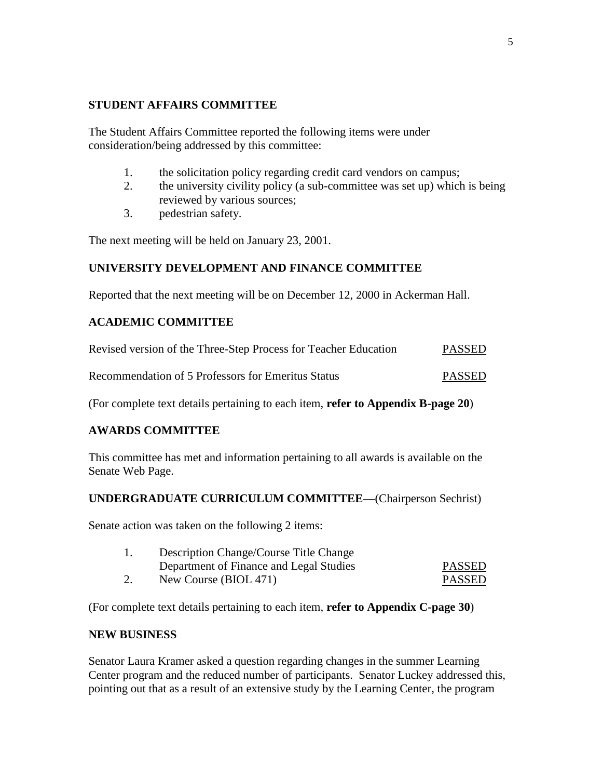# **STUDENT AFFAIRS COMMITTEE**

The Student Affairs Committee reported the following items were under consideration/being addressed by this committee:

- 1. the solicitation policy regarding credit card vendors on campus;
- 2. the university civility policy (a sub-committee was set up) which is being reviewed by various sources;
- 3. pedestrian safety.

The next meeting will be held on January 23, 2001.

# **UNIVERSITY DEVELOPMENT AND FINANCE COMMITTEE**

Reported that the next meeting will be on December 12, 2000 in Ackerman Hall.

# **ACADEMIC COMMITTEE**

| Revised version of the Three-Step Process for Teacher Education | <b>PASSED</b> |
|-----------------------------------------------------------------|---------------|
| Recommendation of 5 Professors for Emeritus Status              | <b>PASSED</b> |

(For complete text details pertaining to each item, **refer to Appendix B-page 20**)

# **AWARDS COMMITTEE**

This committee has met and information pertaining to all awards is available on the Senate Web Page.

# **UNDERGRADUATE CURRICULUM COMMITTEE—**(Chairperson Sechrist)

Senate action was taken on the following 2 items:

|    | Description Change/Course Title Change  |               |
|----|-----------------------------------------|---------------|
|    | Department of Finance and Legal Studies | <b>PASSED</b> |
| 2. | New Course (BIOL 471)                   | <b>PASSED</b> |

(For complete text details pertaining to each item, **refer to Appendix C-page 30**)

# **NEW BUSINESS**

Senator Laura Kramer asked a question regarding changes in the summer Learning Center program and the reduced number of participants. Senator Luckey addressed this, pointing out that as a result of an extensive study by the Learning Center, the program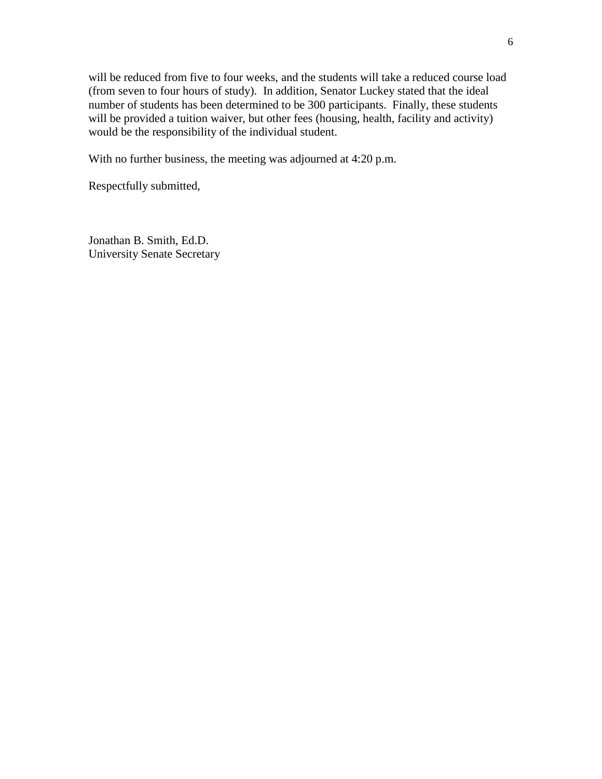will be reduced from five to four weeks, and the students will take a reduced course load (from seven to four hours of study). In addition, Senator Luckey stated that the ideal number of students has been determined to be 300 participants. Finally, these students will be provided a tuition waiver, but other fees (housing, health, facility and activity) would be the responsibility of the individual student.

With no further business, the meeting was adjourned at 4:20 p.m.

Respectfully submitted,

Jonathan B. Smith, Ed.D. University Senate Secretary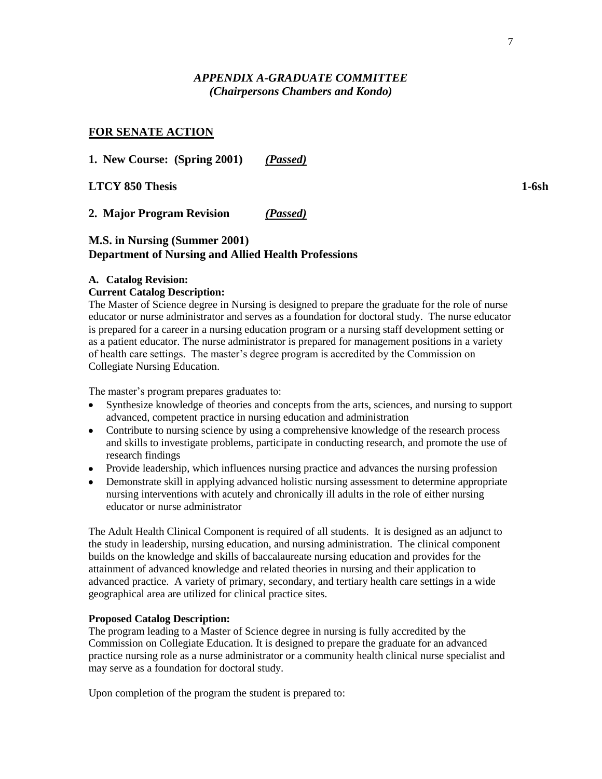# *APPENDIX A-GRADUATE COMMITTEE (Chairpersons Chambers and Kondo)*

### **FOR SENATE ACTION**

**1. New Course: (Spring 2001)** *(Passed)*

**LTCY 850 Thesis 1-6sh**

**2. Major Program Revision** *(Passed)*

### **M.S. in Nursing (Summer 2001) Department of Nursing and Allied Health Professions**

#### **A. Catalog Revision:**

#### **Current Catalog Description:**

The Master of Science degree in Nursing is designed to prepare the graduate for the role of nurse educator or nurse administrator and serves as a foundation for doctoral study. The nurse educator is prepared for a career in a nursing education program or a nursing staff development setting or as a patient educator. The nurse administrator is prepared for management positions in a variety of health care settings. The master's degree program is accredited by the Commission on Collegiate Nursing Education.

The master's program prepares graduates to:

- Synthesize knowledge of theories and concepts from the arts, sciences, and nursing to support advanced, competent practice in nursing education and administration
- Contribute to nursing science by using a comprehensive knowledge of the research process and skills to investigate problems, participate in conducting research, and promote the use of research findings
- Provide leadership, which influences nursing practice and advances the nursing profession
- Demonstrate skill in applying advanced holistic nursing assessment to determine appropriate nursing interventions with acutely and chronically ill adults in the role of either nursing educator or nurse administrator

The Adult Health Clinical Component is required of all students. It is designed as an adjunct to the study in leadership, nursing education, and nursing administration. The clinical component builds on the knowledge and skills of baccalaureate nursing education and provides for the attainment of advanced knowledge and related theories in nursing and their application to advanced practice. A variety of primary, secondary, and tertiary health care settings in a wide geographical area are utilized for clinical practice sites.

#### **Proposed Catalog Description:**

The program leading to a Master of Science degree in nursing is fully accredited by the Commission on Collegiate Education. It is designed to prepare the graduate for an advanced practice nursing role as a nurse administrator or a community health clinical nurse specialist and may serve as a foundation for doctoral study.

Upon completion of the program the student is prepared to: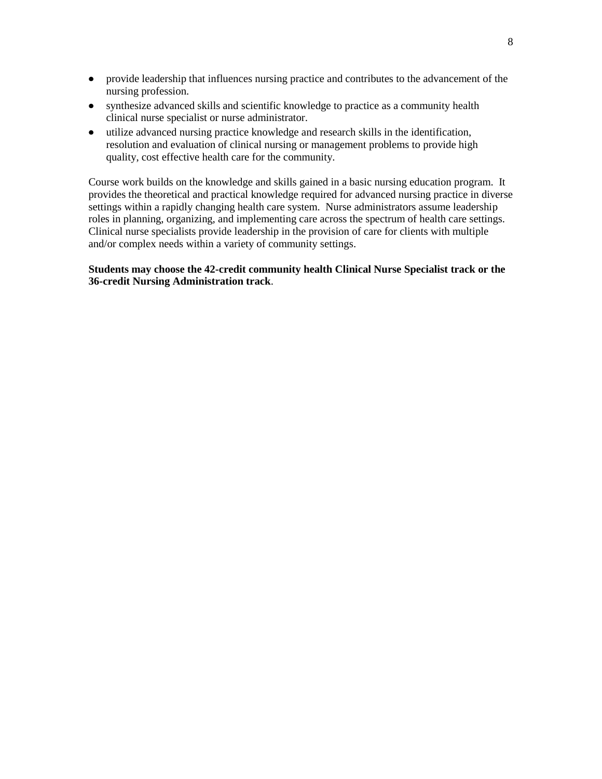- provide leadership that influences nursing practice and contributes to the advancement of the nursing profession.
- synthesize advanced skills and scientific knowledge to practice as a community health clinical nurse specialist or nurse administrator.
- utilize advanced nursing practice knowledge and research skills in the identification, resolution and evaluation of clinical nursing or management problems to provide high quality, cost effective health care for the community.

Course work builds on the knowledge and skills gained in a basic nursing education program. It provides the theoretical and practical knowledge required for advanced nursing practice in diverse settings within a rapidly changing health care system. Nurse administrators assume leadership roles in planning, organizing, and implementing care across the spectrum of health care settings. Clinical nurse specialists provide leadership in the provision of care for clients with multiple and/or complex needs within a variety of community settings.

**Students may choose the 42-credit community health Clinical Nurse Specialist track or the 36-credit Nursing Administration track**.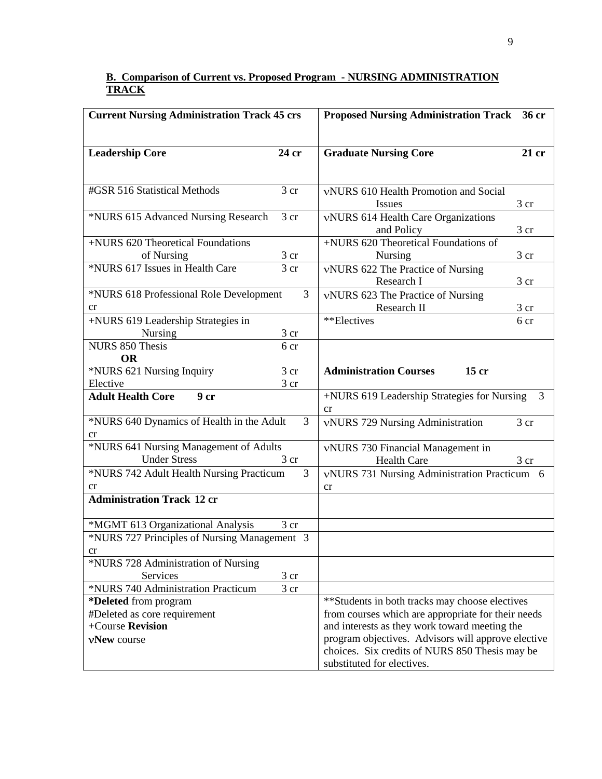### **B. Comparison of Current vs. Proposed Program - NURSING ADMINISTRATION TRACK**

| <b>Current Nursing Administration Track 45 crs</b>                                                                                                                                                                                                                                                                                                                                                                                       |   | <b>Proposed Nursing Administration Track</b><br>36 cr                                                                                                                                                                                                                                                                                                                                                                                    |       |
|------------------------------------------------------------------------------------------------------------------------------------------------------------------------------------------------------------------------------------------------------------------------------------------------------------------------------------------------------------------------------------------------------------------------------------------|---|------------------------------------------------------------------------------------------------------------------------------------------------------------------------------------------------------------------------------------------------------------------------------------------------------------------------------------------------------------------------------------------------------------------------------------------|-------|
|                                                                                                                                                                                                                                                                                                                                                                                                                                          |   |                                                                                                                                                                                                                                                                                                                                                                                                                                          |       |
|                                                                                                                                                                                                                                                                                                                                                                                                                                          |   |                                                                                                                                                                                                                                                                                                                                                                                                                                          |       |
| <b>Leadership Core</b><br>24 cr                                                                                                                                                                                                                                                                                                                                                                                                          |   | <b>Graduate Nursing Core</b>                                                                                                                                                                                                                                                                                                                                                                                                             | 21 cr |
|                                                                                                                                                                                                                                                                                                                                                                                                                                          |   |                                                                                                                                                                                                                                                                                                                                                                                                                                          |       |
| #GSR 516 Statistical Methods<br>3 cr                                                                                                                                                                                                                                                                                                                                                                                                     |   | vNURS 610 Health Promotion and Social                                                                                                                                                                                                                                                                                                                                                                                                    |       |
|                                                                                                                                                                                                                                                                                                                                                                                                                                          |   | <b>Issues</b>                                                                                                                                                                                                                                                                                                                                                                                                                            | 3 cr  |
| *NURS 615 Advanced Nursing Research<br>3 cr                                                                                                                                                                                                                                                                                                                                                                                              |   | vNURS 614 Health Care Organizations                                                                                                                                                                                                                                                                                                                                                                                                      |       |
|                                                                                                                                                                                                                                                                                                                                                                                                                                          |   |                                                                                                                                                                                                                                                                                                                                                                                                                                          | 3 cr  |
| +NURS 620 Theoretical Foundations                                                                                                                                                                                                                                                                                                                                                                                                        |   |                                                                                                                                                                                                                                                                                                                                                                                                                                          |       |
| 3 cr<br>of Nursing                                                                                                                                                                                                                                                                                                                                                                                                                       |   | <b>Nursing</b>                                                                                                                                                                                                                                                                                                                                                                                                                           | 3 cr  |
| *NURS 617 Issues in Health Care<br>$\overline{3}$ cr                                                                                                                                                                                                                                                                                                                                                                                     |   | vNURS 622 The Practice of Nursing                                                                                                                                                                                                                                                                                                                                                                                                        |       |
|                                                                                                                                                                                                                                                                                                                                                                                                                                          |   | Research I                                                                                                                                                                                                                                                                                                                                                                                                                               | 3 cr  |
| *NURS 618 Professional Role Development                                                                                                                                                                                                                                                                                                                                                                                                  | 3 | vNURS 623 The Practice of Nursing                                                                                                                                                                                                                                                                                                                                                                                                        |       |
| cr                                                                                                                                                                                                                                                                                                                                                                                                                                       |   | Research II                                                                                                                                                                                                                                                                                                                                                                                                                              | 3 cr  |
|                                                                                                                                                                                                                                                                                                                                                                                                                                          |   |                                                                                                                                                                                                                                                                                                                                                                                                                                          | 6 cr  |
| 3 cr<br>Nursing                                                                                                                                                                                                                                                                                                                                                                                                                          |   |                                                                                                                                                                                                                                                                                                                                                                                                                                          |       |
|                                                                                                                                                                                                                                                                                                                                                                                                                                          |   |                                                                                                                                                                                                                                                                                                                                                                                                                                          |       |
|                                                                                                                                                                                                                                                                                                                                                                                                                                          |   |                                                                                                                                                                                                                                                                                                                                                                                                                                          |       |
|                                                                                                                                                                                                                                                                                                                                                                                                                                          |   |                                                                                                                                                                                                                                                                                                                                                                                                                                          |       |
|                                                                                                                                                                                                                                                                                                                                                                                                                                          |   |                                                                                                                                                                                                                                                                                                                                                                                                                                          |       |
|                                                                                                                                                                                                                                                                                                                                                                                                                                          |   | cr                                                                                                                                                                                                                                                                                                                                                                                                                                       |       |
| *NURS 640 Dynamics of Health in the Adult                                                                                                                                                                                                                                                                                                                                                                                                | 3 | vNURS 729 Nursing Administration                                                                                                                                                                                                                                                                                                                                                                                                         | 3 cr  |
| cr                                                                                                                                                                                                                                                                                                                                                                                                                                       |   |                                                                                                                                                                                                                                                                                                                                                                                                                                          |       |
|                                                                                                                                                                                                                                                                                                                                                                                                                                          |   |                                                                                                                                                                                                                                                                                                                                                                                                                                          |       |
|                                                                                                                                                                                                                                                                                                                                                                                                                                          |   | <b>Health Care</b>                                                                                                                                                                                                                                                                                                                                                                                                                       | 3 cr  |
|                                                                                                                                                                                                                                                                                                                                                                                                                                          |   |                                                                                                                                                                                                                                                                                                                                                                                                                                          |       |
| cr                                                                                                                                                                                                                                                                                                                                                                                                                                       |   | cr                                                                                                                                                                                                                                                                                                                                                                                                                                       |       |
|                                                                                                                                                                                                                                                                                                                                                                                                                                          |   |                                                                                                                                                                                                                                                                                                                                                                                                                                          |       |
| 3 cr                                                                                                                                                                                                                                                                                                                                                                                                                                     |   |                                                                                                                                                                                                                                                                                                                                                                                                                                          |       |
| *NURS 727 Principles of Nursing Management 3                                                                                                                                                                                                                                                                                                                                                                                             |   |                                                                                                                                                                                                                                                                                                                                                                                                                                          |       |
| $_{\rm cr}$                                                                                                                                                                                                                                                                                                                                                                                                                              |   |                                                                                                                                                                                                                                                                                                                                                                                                                                          |       |
| *NURS 728 Administration of Nursing                                                                                                                                                                                                                                                                                                                                                                                                      |   |                                                                                                                                                                                                                                                                                                                                                                                                                                          |       |
| Services<br>3 cr                                                                                                                                                                                                                                                                                                                                                                                                                         |   |                                                                                                                                                                                                                                                                                                                                                                                                                                          |       |
| *NURS 740 Administration Practicum<br>3 cr                                                                                                                                                                                                                                                                                                                                                                                               |   |                                                                                                                                                                                                                                                                                                                                                                                                                                          |       |
| *Deleted from program                                                                                                                                                                                                                                                                                                                                                                                                                    |   | **Students in both tracks may choose electives                                                                                                                                                                                                                                                                                                                                                                                           |       |
| #Deleted as core requirement                                                                                                                                                                                                                                                                                                                                                                                                             |   | from courses which are appropriate for their needs                                                                                                                                                                                                                                                                                                                                                                                       |       |
|                                                                                                                                                                                                                                                                                                                                                                                                                                          |   |                                                                                                                                                                                                                                                                                                                                                                                                                                          |       |
|                                                                                                                                                                                                                                                                                                                                                                                                                                          |   |                                                                                                                                                                                                                                                                                                                                                                                                                                          |       |
|                                                                                                                                                                                                                                                                                                                                                                                                                                          |   |                                                                                                                                                                                                                                                                                                                                                                                                                                          |       |
| +NURS 619 Leadership Strategies in<br><b>NURS 850 Thesis</b><br>6 cr<br><b>OR</b><br>*NURS 621 Nursing Inquiry<br>$3$ cr<br>Elective<br>3 cr<br><b>Adult Health Core</b><br>9 <sub>cr</sub><br>*NURS 641 Nursing Management of Adults<br><b>Under Stress</b><br>3 <sub>cr</sub><br>*NURS 742 Adult Health Nursing Practicum<br><b>Administration Track 12 cr</b><br>*MGMT 613 Organizational Analysis<br>+Course Revision<br>vNew course | 3 | and Policy<br>+NURS 620 Theoretical Foundations of<br>**Electives<br><b>Administration Courses</b><br>$15$ cr<br>+NURS 619 Leadership Strategies for Nursing<br>vNURS 730 Financial Management in<br>vNURS 731 Nursing Administration Practicum 6<br>and interests as they work toward meeting the<br>program objectives. Advisors will approve elective<br>choices. Six credits of NURS 850 Thesis may be<br>substituted for electives. | 3     |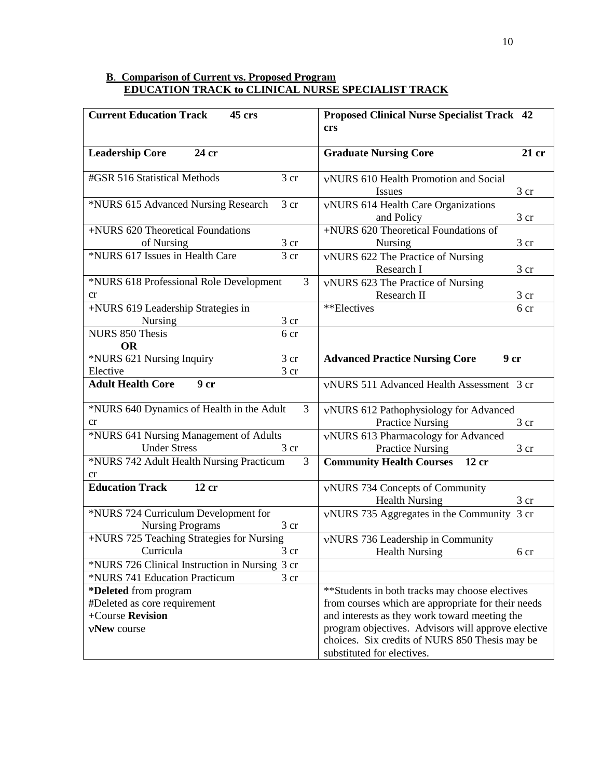### **B**. **Comparison of Current vs. Proposed Program EDUCATION TRACK to CLINICAL NURSE SPECIALIST TRACK**

| <b>Current Education Track</b><br>45 crs                | <b>Proposed Clinical Nurse Specialist Track 42</b>                                                  |
|---------------------------------------------------------|-----------------------------------------------------------------------------------------------------|
|                                                         | crs                                                                                                 |
| <b>Leadership Core</b><br>24 cr                         | <b>Graduate Nursing Core</b><br>21 cr                                                               |
|                                                         |                                                                                                     |
| #GSR 516 Statistical Methods<br>3 cr                    | vNURS 610 Health Promotion and Social<br>Issues<br>3 cr                                             |
| *NURS 615 Advanced Nursing Research<br>3 <sub>cr</sub>  | vNURS 614 Health Care Organizations<br>and Policy<br>3 cr                                           |
| +NURS 620 Theoretical Foundations<br>3 cr<br>of Nursing | +NURS 620 Theoretical Foundations of<br>Nursing<br>3 cr                                             |
| *NURS 617 Issues in Health Care<br>$\overline{3}$ cr    | vNURS 622 The Practice of Nursing<br>Research I<br>3 cr                                             |
| 3<br>*NURS 618 Professional Role Development<br>cr      | vNURS 623 The Practice of Nursing<br>Research II<br>3 cr                                            |
| +NURS 619 Leadership Strategies in                      | **Electives<br>6 cr                                                                                 |
| 3 <sub>cr</sub><br><b>Nursing</b>                       |                                                                                                     |
| <b>NURS 850 Thesis</b><br>6 cr                          |                                                                                                     |
| <b>OR</b>                                               |                                                                                                     |
| *NURS 621 Nursing Inquiry<br>3 cr                       | <b>Advanced Practice Nursing Core</b><br>9 <sub>cr</sub>                                            |
| Elective<br>3 cr                                        |                                                                                                     |
| <b>Adult Health Core</b><br>9 <sub>cr</sub>             | vNURS 511 Advanced Health Assessment 3 cr                                                           |
| *NURS 640 Dynamics of Health in the Adult<br>3          | vNURS 612 Pathophysiology for Advanced                                                              |
| cr<br>*NURS 641 Nursing Management of Adults            | <b>Practice Nursing</b><br>3 cr                                                                     |
| <b>Under Stress</b><br>3 cr                             | vNURS 613 Pharmacology for Advanced<br><b>Practice Nursing</b><br>3 cr                              |
| *NURS 742 Adult Health Nursing Practicum                | $\overline{3}$<br><b>Community Health Courses</b><br>12 cr                                          |
| cr                                                      |                                                                                                     |
| <b>Education Track</b><br>12 cr                         | vNURS 734 Concepts of Community<br><b>Health Nursing</b><br>3 cr                                    |
| *NURS 724 Curriculum Development for                    | vNURS 735 Aggregates in the Community 3 cr                                                          |
| <b>Nursing Programs</b><br>3 <sub>cr</sub>              |                                                                                                     |
| +NURS 725 Teaching Strategies for Nursing               | vNURS 736 Leadership in Community                                                                   |
| Curricula<br>3 <sub>cr</sub>                            | <b>Health Nursing</b><br>6 cr                                                                       |
| *NURS 726 Clinical Instruction in Nursing 3 cr          |                                                                                                     |
| *NURS 741 Education Practicum<br>$3$ cr                 |                                                                                                     |
| *Deleted from program                                   | **Students in both tracks may choose electives                                                      |
| #Deleted as core requirement<br>+Course Revision        | from courses which are appropriate for their needs<br>and interests as they work toward meeting the |
|                                                         | program objectives. Advisors will approve elective                                                  |
| vNew course                                             | choices. Six credits of NURS 850 Thesis may be                                                      |
|                                                         | substituted for electives.                                                                          |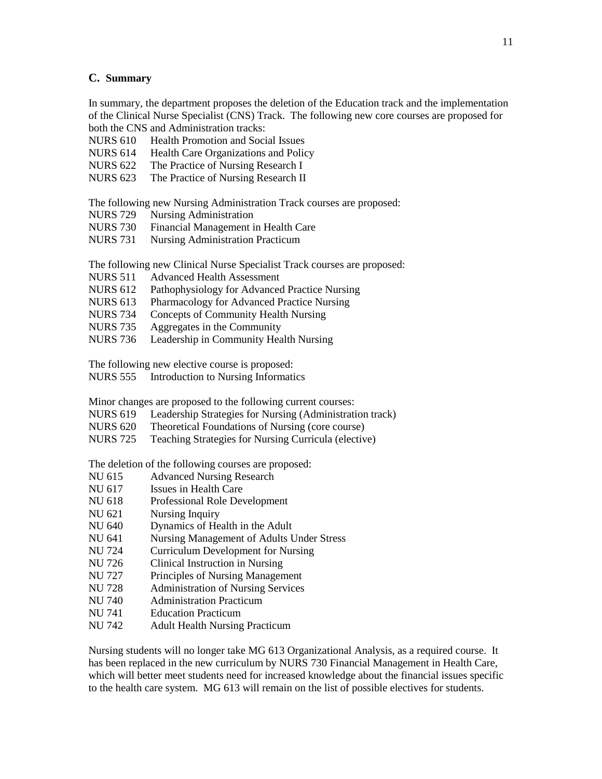#### **C. Summary**

In summary, the department proposes the deletion of the Education track and the implementation of the Clinical Nurse Specialist (CNS) Track. The following new core courses are proposed for both the CNS and Administration tracks:

- NURS 610 Health Promotion and Social Issues
- NURS 614 Health Care Organizations and Policy
- NURS 622 The Practice of Nursing Research I
- NURS 623 The Practice of Nursing Research II

The following new Nursing Administration Track courses are proposed:

- NURS 729 Nursing Administration
- NURS 730 Financial Management in Health Care
- NURS 731 Nursing Administration Practicum

The following new Clinical Nurse Specialist Track courses are proposed:

- NURS 511 Advanced Health Assessment
- NURS 612 Pathophysiology for Advanced Practice Nursing
- NURS 613 Pharmacology for Advanced Practice Nursing
- NURS 734 Concepts of Community Health Nursing
- NURS 735 Aggregates in the Community
- NURS 736 Leadership in Community Health Nursing

The following new elective course is proposed:

NURS 555 Introduction to Nursing Informatics

Minor changes are proposed to the following current courses:

- NURS 619 Leadership Strategies for Nursing (Administration track)
- NURS 620 Theoretical Foundations of Nursing (core course)
- NURS 725 Teaching Strategies for Nursing Curricula (elective)

The deletion of the following courses are proposed:

- NU 615 Advanced Nursing Research
- NU 617 Issues in Health Care
- NU 618 Professional Role Development
- NU 621 Nursing Inquiry
- NU 640 Dynamics of Health in the Adult
- NU 641 Nursing Management of Adults Under Stress
- NU 724 Curriculum Development for Nursing
- NU 726 Clinical Instruction in Nursing
- NU 727 Principles of Nursing Management
- NU 728 Administration of Nursing Services
- NU 740 Administration Practicum
- NU 741 Education Practicum
- NU 742 Adult Health Nursing Practicum

Nursing students will no longer take MG 613 Organizational Analysis, as a required course. It has been replaced in the new curriculum by NURS 730 Financial Management in Health Care, which will better meet students need for increased knowledge about the financial issues specific to the health care system. MG 613 will remain on the list of possible electives for students.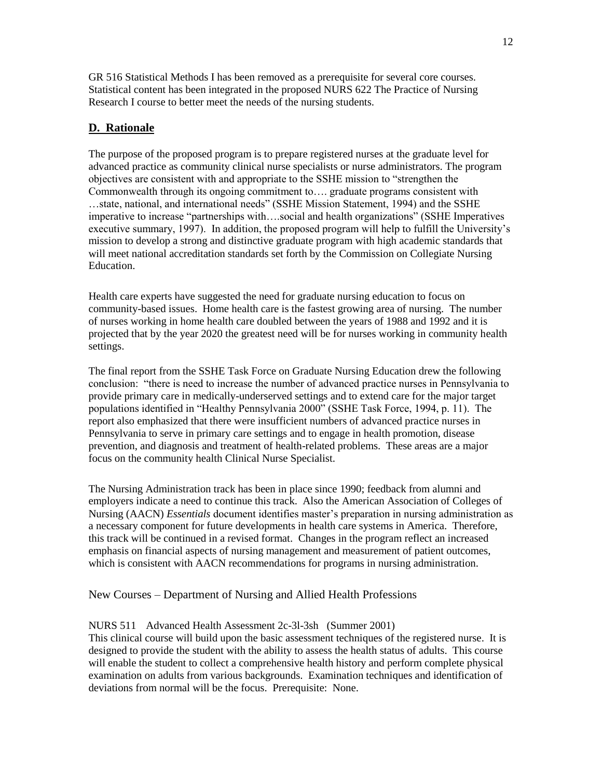GR 516 Statistical Methods I has been removed as a prerequisite for several core courses. Statistical content has been integrated in the proposed NURS 622 The Practice of Nursing Research I course to better meet the needs of the nursing students.

# **D. Rationale**

The purpose of the proposed program is to prepare registered nurses at the graduate level for advanced practice as community clinical nurse specialists or nurse administrators. The program objectives are consistent with and appropriate to the SSHE mission to "strengthen the Commonwealth through its ongoing commitment to…. graduate programs consistent with …state, national, and international needs" (SSHE Mission Statement, 1994) and the SSHE imperative to increase "partnerships with….social and health organizations" (SSHE Imperatives executive summary, 1997). In addition, the proposed program will help to fulfill the University's mission to develop a strong and distinctive graduate program with high academic standards that will meet national accreditation standards set forth by the Commission on Collegiate Nursing **Education** 

Health care experts have suggested the need for graduate nursing education to focus on community-based issues. Home health care is the fastest growing area of nursing. The number of nurses working in home health care doubled between the years of 1988 and 1992 and it is projected that by the year 2020 the greatest need will be for nurses working in community health settings.

The final report from the SSHE Task Force on Graduate Nursing Education drew the following conclusion: "there is need to increase the number of advanced practice nurses in Pennsylvania to provide primary care in medically-underserved settings and to extend care for the major target populations identified in "Healthy Pennsylvania 2000" (SSHE Task Force, 1994, p. 11). The report also emphasized that there were insufficient numbers of advanced practice nurses in Pennsylvania to serve in primary care settings and to engage in health promotion, disease prevention, and diagnosis and treatment of health-related problems. These areas are a major focus on the community health Clinical Nurse Specialist.

The Nursing Administration track has been in place since 1990; feedback from alumni and employers indicate a need to continue this track. Also the American Association of Colleges of Nursing (AACN) *Essentials* document identifies master's preparation in nursing administration as a necessary component for future developments in health care systems in America. Therefore, this track will be continued in a revised format. Changes in the program reflect an increased emphasis on financial aspects of nursing management and measurement of patient outcomes, which is consistent with AACN recommendations for programs in nursing administration.

### New Courses – Department of Nursing and Allied Health Professions

### NURS 511 Advanced Health Assessment 2c-3l-3sh (Summer 2001)

This clinical course will build upon the basic assessment techniques of the registered nurse. It is designed to provide the student with the ability to assess the health status of adults. This course will enable the student to collect a comprehensive health history and perform complete physical examination on adults from various backgrounds. Examination techniques and identification of deviations from normal will be the focus. Prerequisite: None.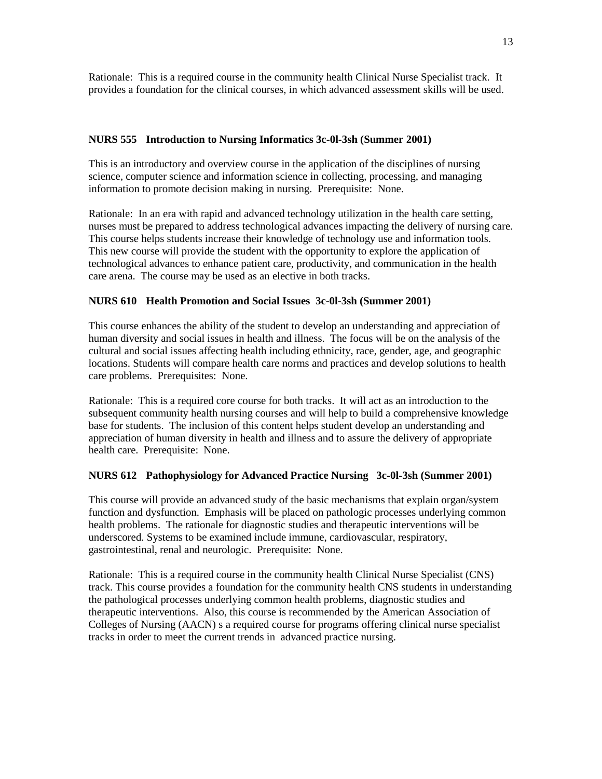Rationale: This is a required course in the community health Clinical Nurse Specialist track. It provides a foundation for the clinical courses, in which advanced assessment skills will be used.

### **NURS 555 Introduction to Nursing Informatics 3c-0l-3sh (Summer 2001)**

This is an introductory and overview course in the application of the disciplines of nursing science, computer science and information science in collecting, processing, and managing information to promote decision making in nursing. Prerequisite: None.

Rationale: In an era with rapid and advanced technology utilization in the health care setting, nurses must be prepared to address technological advances impacting the delivery of nursing care. This course helps students increase their knowledge of technology use and information tools. This new course will provide the student with the opportunity to explore the application of technological advances to enhance patient care, productivity, and communication in the health care arena. The course may be used as an elective in both tracks.

### **NURS 610 Health Promotion and Social Issues 3c-0l-3sh (Summer 2001)**

This course enhances the ability of the student to develop an understanding and appreciation of human diversity and social issues in health and illness. The focus will be on the analysis of the cultural and social issues affecting health including ethnicity, race, gender, age, and geographic locations. Students will compare health care norms and practices and develop solutions to health care problems. Prerequisites: None.

Rationale: This is a required core course for both tracks. It will act as an introduction to the subsequent community health nursing courses and will help to build a comprehensive knowledge base for students. The inclusion of this content helps student develop an understanding and appreciation of human diversity in health and illness and to assure the delivery of appropriate health care. Prerequisite: None.

#### **NURS 612 Pathophysiology for Advanced Practice Nursing 3c-0l-3sh (Summer 2001)**

This course will provide an advanced study of the basic mechanisms that explain organ/system function and dysfunction. Emphasis will be placed on pathologic processes underlying common health problems. The rationale for diagnostic studies and therapeutic interventions will be underscored. Systems to be examined include immune, cardiovascular, respiratory, gastrointestinal, renal and neurologic. Prerequisite: None.

Rationale: This is a required course in the community health Clinical Nurse Specialist (CNS) track. This course provides a foundation for the community health CNS students in understanding the pathological processes underlying common health problems, diagnostic studies and therapeutic interventions. Also, this course is recommended by the American Association of Colleges of Nursing (AACN) s a required course for programs offering clinical nurse specialist tracks in order to meet the current trends in advanced practice nursing.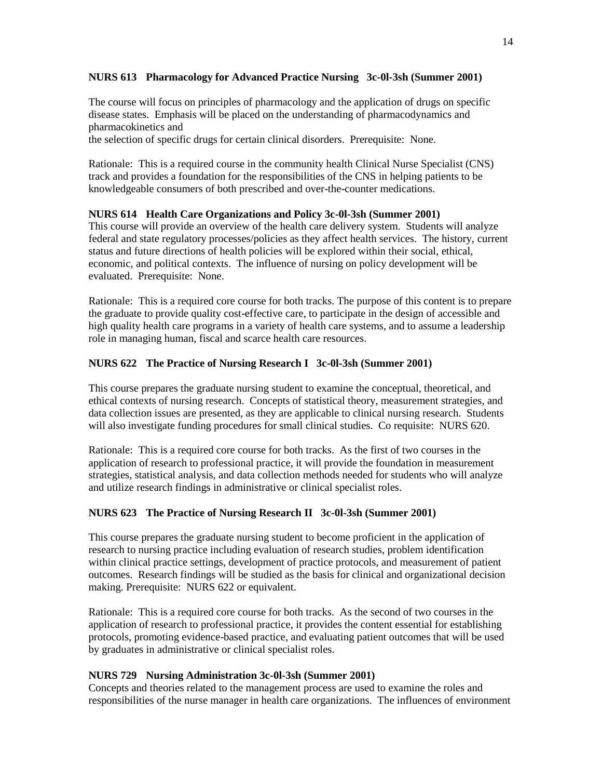### **NURS 613 Pharmacology for Advanced Practice Nursing 3c-0l-3sh (Summer 2001)**

The course will focus on principles of pharmacology and the application of drugs on specific disease states. Emphasis will be placed on the understanding of pharmacodynamics and pharmacokinetics and

the selection of specific drugs for certain clinical disorders. Prerequisite: None.

Rationale: This is a required course in the community health Clinical Nurse Specialist (CNS) track and provides a foundation for the responsibilities of the CNS in helping patients to be knowledgeable consumers of both prescribed and over-the-counter medications.

### **NURS 614 Health Care Organizations and Policy 3c-0l-3sh (Summer 2001)**

This course will provide an overview of the health care delivery system. Students will analyze federal and state regulatory processes/policies as they affect health services. The history, current status and future directions of health policies will be explored within their social, ethical, economic, and political contexts. The influence of nursing on policy development will be evaluated. Prerequisite: None.

Rationale: This is a required core course for both tracks. The purpose of this content is to prepare the graduate to provide quality cost-effective care, to participate in the design of accessible and high quality health care programs in a variety of health care systems, and to assume a leadership role in managing human, fiscal and scarce health care resources.

### **NURS 622 The Practice of Nursing Research I 3c-0l-3sh (Summer 2001)**

This course prepares the graduate nursing student to examine the conceptual, theoretical, and ethical contexts of nursing research. Concepts of statistical theory, measurement strategies, and data collection issues are presented, as they are applicable to clinical nursing research. Students will also investigate funding procedures for small clinical studies. Co requisite: NURS 620.

Rationale: This is a required core course for both tracks. As the first of two courses in the application of research to professional practice, it will provide the foundation in measurement strategies, statistical analysis, and data collection methods needed for students who will analyze and utilize research findings in administrative or clinical specialist roles.

### **NURS 623 The Practice of Nursing Research II 3c-0l-3sh (Summer 2001)**

This course prepares the graduate nursing student to become proficient in the application of research to nursing practice including evaluation of research studies, problem identification within clinical practice settings, development of practice protocols, and measurement of patient outcomes. Research findings will be studied as the basis for clinical and organizational decision making. Prerequisite: NURS 622 or equivalent.

Rationale: This is a required core course for both tracks. As the second of two courses in the application of research to professional practice, it provides the content essential for establishing protocols, promoting evidence-based practice, and evaluating patient outcomes that will be used by graduates in administrative or clinical specialist roles.

### **NURS 729 Nursing Administration 3c-0l-3sh (Summer 2001)**

Concepts and theories related to the management process are used to examine the roles and responsibilities of the nurse manager in health care organizations. The influences of environment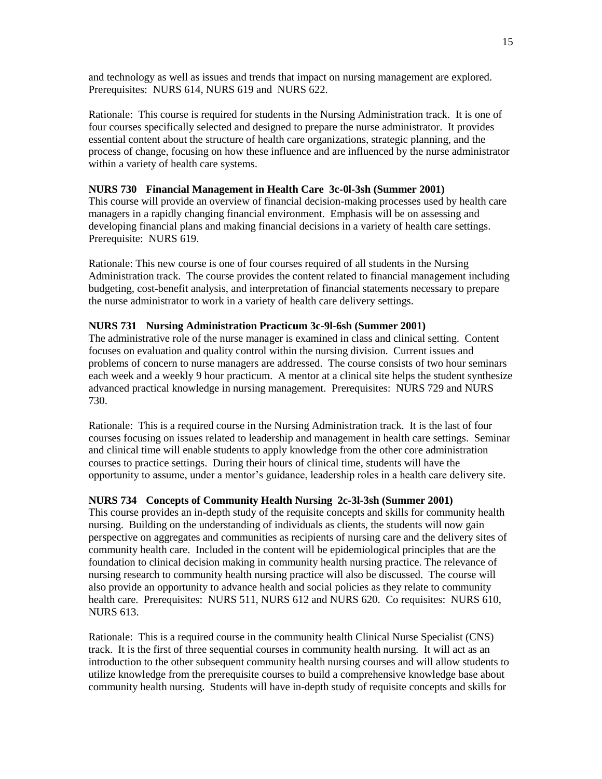and technology as well as issues and trends that impact on nursing management are explored. Prerequisites: NURS 614, NURS 619 and NURS 622.

Rationale: This course is required for students in the Nursing Administration track. It is one of four courses specifically selected and designed to prepare the nurse administrator. It provides essential content about the structure of health care organizations, strategic planning, and the process of change, focusing on how these influence and are influenced by the nurse administrator within a variety of health care systems.

### **NURS 730 Financial Management in Health Care 3c-0l-3sh (Summer 2001)**

This course will provide an overview of financial decision-making processes used by health care managers in a rapidly changing financial environment. Emphasis will be on assessing and developing financial plans and making financial decisions in a variety of health care settings. Prerequisite: NURS 619.

Rationale: This new course is one of four courses required of all students in the Nursing Administration track. The course provides the content related to financial management including budgeting, cost-benefit analysis, and interpretation of financial statements necessary to prepare the nurse administrator to work in a variety of health care delivery settings.

### **NURS 731 Nursing Administration Practicum 3c-9l-6sh (Summer 2001)**

The administrative role of the nurse manager is examined in class and clinical setting. Content focuses on evaluation and quality control within the nursing division. Current issues and problems of concern to nurse managers are addressed. The course consists of two hour seminars each week and a weekly 9 hour practicum. A mentor at a clinical site helps the student synthesize advanced practical knowledge in nursing management. Prerequisites: NURS 729 and NURS 730.

Rationale: This is a required course in the Nursing Administration track. It is the last of four courses focusing on issues related to leadership and management in health care settings. Seminar and clinical time will enable students to apply knowledge from the other core administration courses to practice settings. During their hours of clinical time, students will have the opportunity to assume, under a mentor's guidance, leadership roles in a health care delivery site.

#### **NURS 734 Concepts of Community Health Nursing 2c-3l-3sh (Summer 2001)**

This course provides an in-depth study of the requisite concepts and skills for community health nursing. Building on the understanding of individuals as clients, the students will now gain perspective on aggregates and communities as recipients of nursing care and the delivery sites of community health care. Included in the content will be epidemiological principles that are the foundation to clinical decision making in community health nursing practice. The relevance of nursing research to community health nursing practice will also be discussed. The course will also provide an opportunity to advance health and social policies as they relate to community health care. Prerequisites: NURS 511, NURS 612 and NURS 620. Co requisites: NURS 610, NURS 613.

Rationale: This is a required course in the community health Clinical Nurse Specialist (CNS) track. It is the first of three sequential courses in community health nursing. It will act as an introduction to the other subsequent community health nursing courses and will allow students to utilize knowledge from the prerequisite courses to build a comprehensive knowledge base about community health nursing. Students will have in-depth study of requisite concepts and skills for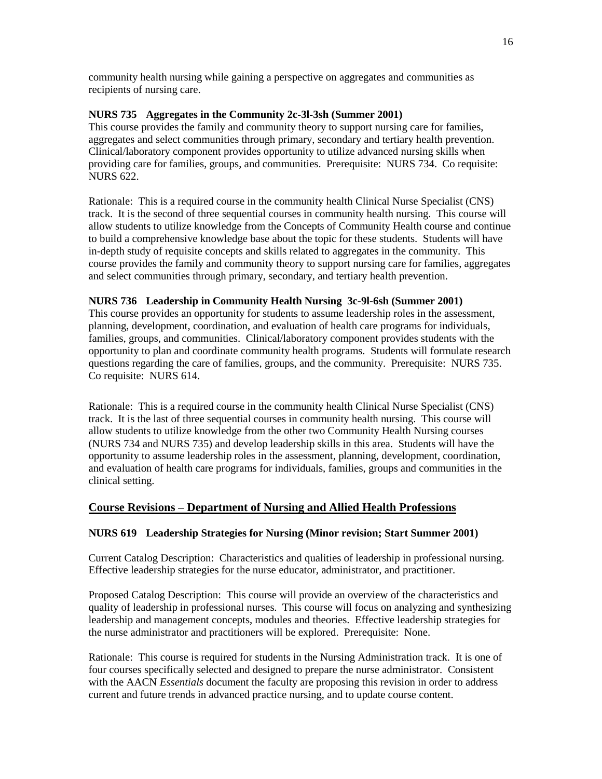community health nursing while gaining a perspective on aggregates and communities as recipients of nursing care.

### **NURS 735 Aggregates in the Community 2c-3l-3sh (Summer 2001)**

This course provides the family and community theory to support nursing care for families, aggregates and select communities through primary, secondary and tertiary health prevention. Clinical/laboratory component provides opportunity to utilize advanced nursing skills when providing care for families, groups, and communities. Prerequisite: NURS 734. Co requisite: NURS 622.

Rationale: This is a required course in the community health Clinical Nurse Specialist (CNS) track. It is the second of three sequential courses in community health nursing. This course will allow students to utilize knowledge from the Concepts of Community Health course and continue to build a comprehensive knowledge base about the topic for these students. Students will have in-depth study of requisite concepts and skills related to aggregates in the community. This course provides the family and community theory to support nursing care for families, aggregates and select communities through primary, secondary, and tertiary health prevention.

### **NURS 736 Leadership in Community Health Nursing 3c-9l-6sh (Summer 2001)**

This course provides an opportunity for students to assume leadership roles in the assessment, planning, development, coordination, and evaluation of health care programs for individuals, families, groups, and communities. Clinical/laboratory component provides students with the opportunity to plan and coordinate community health programs. Students will formulate research questions regarding the care of families, groups, and the community. Prerequisite: NURS 735. Co requisite: NURS 614.

Rationale: This is a required course in the community health Clinical Nurse Specialist (CNS) track. It is the last of three sequential courses in community health nursing. This course will allow students to utilize knowledge from the other two Community Health Nursing courses (NURS 734 and NURS 735) and develop leadership skills in this area. Students will have the opportunity to assume leadership roles in the assessment, planning, development, coordination, and evaluation of health care programs for individuals, families, groups and communities in the clinical setting.

# **Course Revisions – Department of Nursing and Allied Health Professions**

### **NURS 619 Leadership Strategies for Nursing (Minor revision; Start Summer 2001)**

Current Catalog Description: Characteristics and qualities of leadership in professional nursing. Effective leadership strategies for the nurse educator, administrator, and practitioner.

Proposed Catalog Description: This course will provide an overview of the characteristics and quality of leadership in professional nurses. This course will focus on analyzing and synthesizing leadership and management concepts, modules and theories. Effective leadership strategies for the nurse administrator and practitioners will be explored. Prerequisite: None.

Rationale: This course is required for students in the Nursing Administration track. It is one of four courses specifically selected and designed to prepare the nurse administrator. Consistent with the AACN *Essentials* document the faculty are proposing this revision in order to address current and future trends in advanced practice nursing, and to update course content.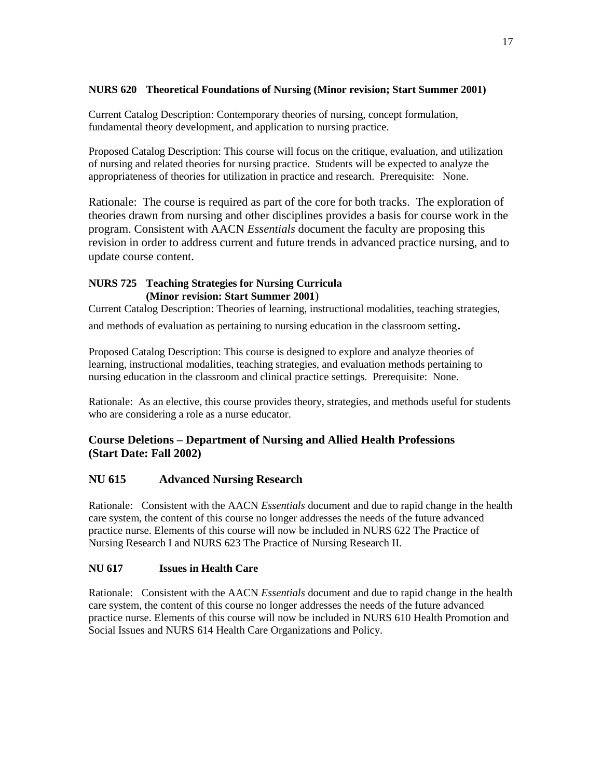# **NURS 620 Theoretical Foundations of Nursing (Minor revision; Start Summer 2001)**

Current Catalog Description: Contemporary theories of nursing, concept formulation, fundamental theory development, and application to nursing practice.

Proposed Catalog Description: This course will focus on the critique, evaluation, and utilization of nursing and related theories for nursing practice. Students will be expected to analyze the appropriateness of theories for utilization in practice and research. Prerequisite: None.

Rationale: The course is required as part of the core for both tracks. The exploration of theories drawn from nursing and other disciplines provides a basis for course work in the program. Consistent with AACN *Essentials* document the faculty are proposing this revision in order to address current and future trends in advanced practice nursing, and to update course content.

### **NURS 725 Teaching Strategies for Nursing Curricula (Minor revision: Start Summer 2001**)

Current Catalog Description: Theories of learning, instructional modalities, teaching strategies,

and methods of evaluation as pertaining to nursing education in the classroom setting.

Proposed Catalog Description: This course is designed to explore and analyze theories of learning, instructional modalities, teaching strategies, and evaluation methods pertaining to nursing education in the classroom and clinical practice settings. Prerequisite: None.

Rationale: As an elective, this course provides theory, strategies, and methods useful for students who are considering a role as a nurse educator.

# **Course Deletions – Department of Nursing and Allied Health Professions (Start Date: Fall 2002)**

# **NU 615 Advanced Nursing Research**

Rationale: Consistent with the AACN *Essentials* document and due to rapid change in the health care system, the content of this course no longer addresses the needs of the future advanced practice nurse. Elements of this course will now be included in NURS 622 The Practice of Nursing Research I and NURS 623 The Practice of Nursing Research II.

# **NU 617 Issues in Health Care**

Rationale: Consistent with the AACN *Essentials* document and due to rapid change in the health care system, the content of this course no longer addresses the needs of the future advanced practice nurse. Elements of this course will now be included in NURS 610 Health Promotion and Social Issues and NURS 614 Health Care Organizations and Policy.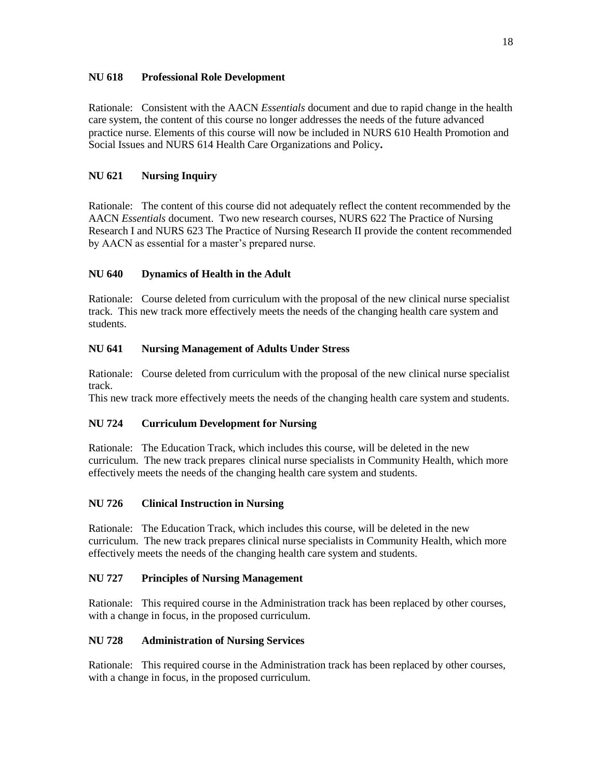### **NU 618 Professional Role Development**

Rationale: Consistent with the AACN *Essentials* document and due to rapid change in the health care system, the content of this course no longer addresses the needs of the future advanced practice nurse. Elements of this course will now be included in NURS 610 Health Promotion and Social Issues and NURS 614 Health Care Organizations and Policy**.**

# **NU 621 Nursing Inquiry**

Rationale: The content of this course did not adequately reflect the content recommended by the AACN *Essentials* document. Two new research courses, NURS 622 The Practice of Nursing Research I and NURS 623 The Practice of Nursing Research II provide the content recommended by AACN as essential for a master's prepared nurse.

# **NU 640 Dynamics of Health in the Adult**

Rationale: Course deleted from curriculum with the proposal of the new clinical nurse specialist track. This new track more effectively meets the needs of the changing health care system and students.

# **NU 641 Nursing Management of Adults Under Stress**

Rationale: Course deleted from curriculum with the proposal of the new clinical nurse specialist track.

This new track more effectively meets the needs of the changing health care system and students.

# **NU 724 Curriculum Development for Nursing**

Rationale: The Education Track, which includes this course, will be deleted in the new curriculum. The new track prepares clinical nurse specialists in Community Health, which more effectively meets the needs of the changing health care system and students.

# **NU 726 Clinical Instruction in Nursing**

Rationale: The Education Track, which includes this course, will be deleted in the new curriculum. The new track prepares clinical nurse specialists in Community Health, which more effectively meets the needs of the changing health care system and students.

# **NU 727 Principles of Nursing Management**

Rationale: This required course in the Administration track has been replaced by other courses, with a change in focus, in the proposed curriculum.

# **NU 728 Administration of Nursing Services**

Rationale: This required course in the Administration track has been replaced by other courses, with a change in focus, in the proposed curriculum.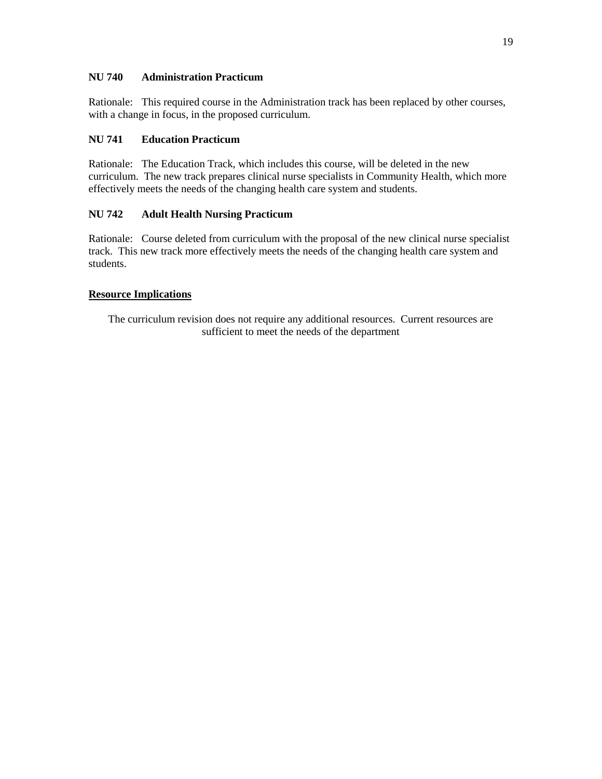### **NU 740 Administration Practicum**

Rationale: This required course in the Administration track has been replaced by other courses, with a change in focus, in the proposed curriculum.

### **NU 741 Education Practicum**

Rationale: The Education Track, which includes this course, will be deleted in the new curriculum. The new track prepares clinical nurse specialists in Community Health, which more effectively meets the needs of the changing health care system and students.

# **NU 742 Adult Health Nursing Practicum**

Rationale: Course deleted from curriculum with the proposal of the new clinical nurse specialist track. This new track more effectively meets the needs of the changing health care system and students.

### **Resource Implications**

The curriculum revision does not require any additional resources. Current resources are sufficient to meet the needs of the department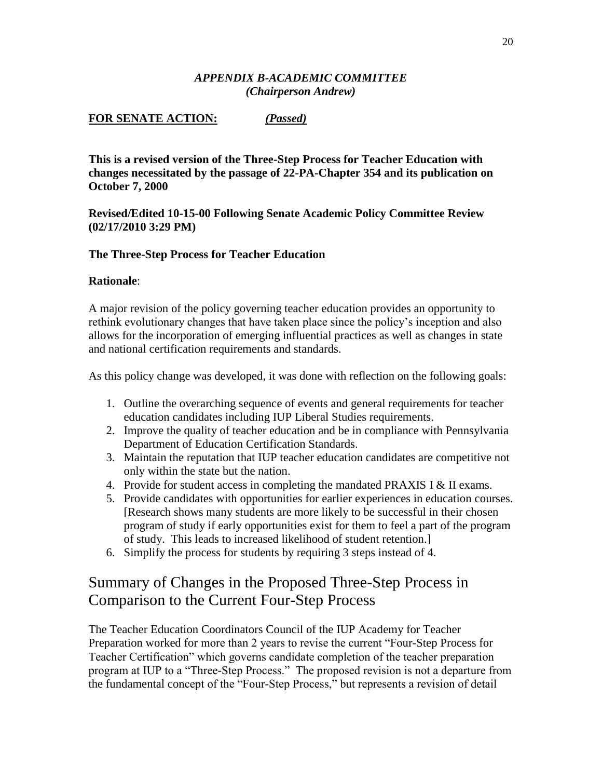# *APPENDIX B-ACADEMIC COMMITTEE (Chairperson Andrew)*

# **FOR SENATE ACTION:** *(Passed)*

**This is a revised version of the Three-Step Process for Teacher Education with changes necessitated by the passage of 22-PA-Chapter 354 and its publication on October 7, 2000**

# **Revised/Edited 10-15-00 Following Senate Academic Policy Committee Review (02/17/2010 3:29 PM)**

# **The Three-Step Process for Teacher Education**

# **Rationale**:

A major revision of the policy governing teacher education provides an opportunity to rethink evolutionary changes that have taken place since the policy's inception and also allows for the incorporation of emerging influential practices as well as changes in state and national certification requirements and standards.

As this policy change was developed, it was done with reflection on the following goals:

- 1. Outline the overarching sequence of events and general requirements for teacher education candidates including IUP Liberal Studies requirements.
- 2. Improve the quality of teacher education and be in compliance with Pennsylvania Department of Education Certification Standards.
- 3. Maintain the reputation that IUP teacher education candidates are competitive not only within the state but the nation.
- 4. Provide for student access in completing the mandated PRAXIS I & II exams.
- 5. Provide candidates with opportunities for earlier experiences in education courses. [Research shows many students are more likely to be successful in their chosen program of study if early opportunities exist for them to feel a part of the program of study. This leads to increased likelihood of student retention.]
- 6. Simplify the process for students by requiring 3 steps instead of 4.

# Summary of Changes in the Proposed Three-Step Process in Comparison to the Current Four-Step Process

The Teacher Education Coordinators Council of the IUP Academy for Teacher Preparation worked for more than 2 years to revise the current "Four-Step Process for Teacher Certification" which governs candidate completion of the teacher preparation program at IUP to a "Three-Step Process." The proposed revision is not a departure from the fundamental concept of the "Four-Step Process," but represents a revision of detail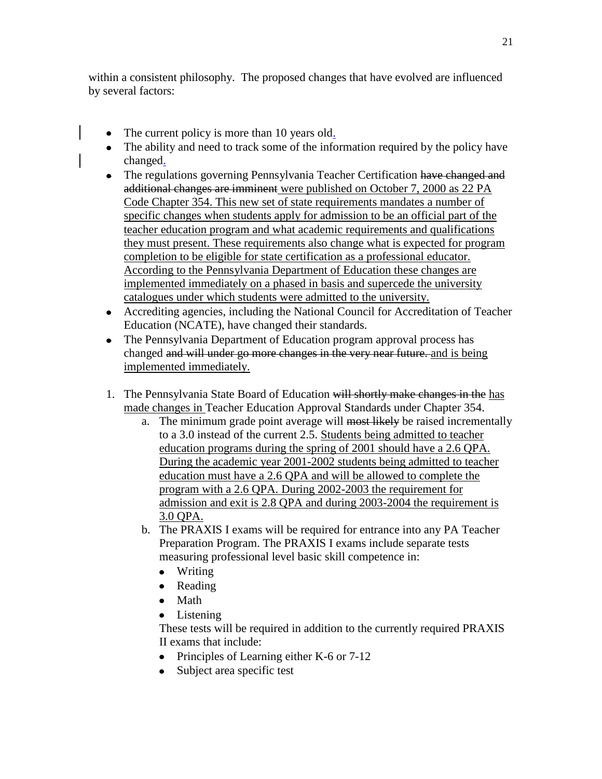within a consistent philosophy. The proposed changes that have evolved are influenced by several factors:

- The current policy is more than 10 years old.
- The ability and need to track some of the information required by the policy have changed.
- The regulations governing Pennsylvania Teacher Certification have changed and additional changes are imminent were published on October 7, 2000 as 22 PA Code Chapter 354. This new set of state requirements mandates a number of specific changes when students apply for admission to be an official part of the teacher education program and what academic requirements and qualifications they must present. These requirements also change what is expected for program completion to be eligible for state certification as a professional educator. According to the Pennsylvania Department of Education these changes are implemented immediately on a phased in basis and supercede the university catalogues under which students were admitted to the university.
- Accrediting agencies, including the National Council for Accreditation of Teacher Education (NCATE), have changed their standards.
- The Pennsylvania Department of Education program approval process has changed and will under go more changes in the very near future. and is being implemented immediately.
- 1. The Pennsylvania State Board of Education will shortly make changes in the has made changes in Teacher Education Approval Standards under Chapter 354.
	- a. The minimum grade point average will most likely be raised incrementally to a 3.0 instead of the current 2.5. Students being admitted to teacher education programs during the spring of 2001 should have a 2.6 QPA. During the academic year 2001-2002 students being admitted to teacher education must have a 2.6 QPA and will be allowed to complete the program with a 2.6 QPA. During 2002-2003 the requirement for admission and exit is 2.8 QPA and during 2003-2004 the requirement is 3.0 QPA.
	- b. The PRAXIS I exams will be required for entrance into any PA Teacher Preparation Program. The PRAXIS I exams include separate tests measuring professional level basic skill competence in:
		- Writing
		- Reading
		- Math
		- Listening

These tests will be required in addition to the currently required PRAXIS II exams that include:

- Principles of Learning either K-6 or 7-12
- Subject area specific test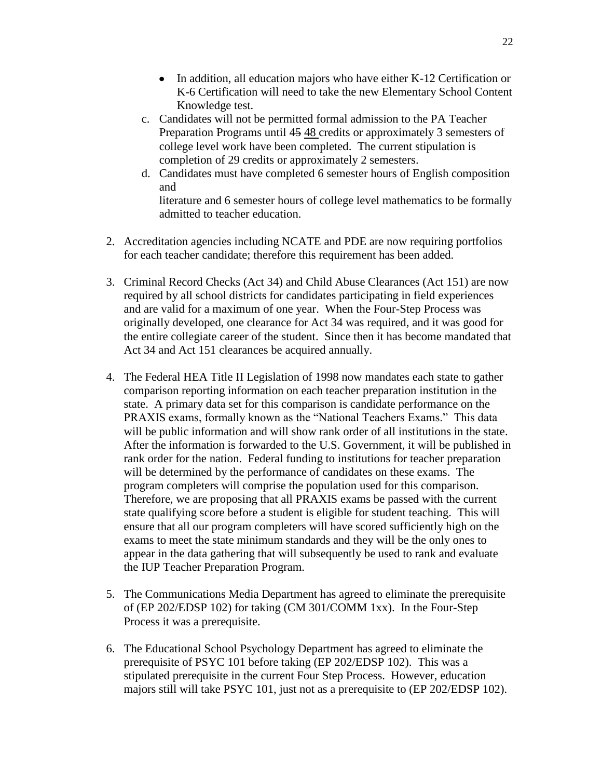- In addition, all education majors who have either K-12 Certification or K-6 Certification will need to take the new Elementary School Content Knowledge test.
- c. Candidates will not be permitted formal admission to the PA Teacher Preparation Programs until 45 48 credits or approximately 3 semesters of college level work have been completed. The current stipulation is completion of 29 credits or approximately 2 semesters.
- d. Candidates must have completed 6 semester hours of English composition and

literature and 6 semester hours of college level mathematics to be formally admitted to teacher education.

- 2. Accreditation agencies including NCATE and PDE are now requiring portfolios for each teacher candidate; therefore this requirement has been added.
- 3. Criminal Record Checks (Act 34) and Child Abuse Clearances (Act 151) are now required by all school districts for candidates participating in field experiences and are valid for a maximum of one year. When the Four-Step Process was originally developed, one clearance for Act 34 was required, and it was good for the entire collegiate career of the student. Since then it has become mandated that Act 34 and Act 151 clearances be acquired annually.
- 4. The Federal HEA Title II Legislation of 1998 now mandates each state to gather comparison reporting information on each teacher preparation institution in the state. A primary data set for this comparison is candidate performance on the PRAXIS exams, formally known as the "National Teachers Exams." This data will be public information and will show rank order of all institutions in the state. After the information is forwarded to the U.S. Government, it will be published in rank order for the nation. Federal funding to institutions for teacher preparation will be determined by the performance of candidates on these exams. The program completers will comprise the population used for this comparison. Therefore, we are proposing that all PRAXIS exams be passed with the current state qualifying score before a student is eligible for student teaching. This will ensure that all our program completers will have scored sufficiently high on the exams to meet the state minimum standards and they will be the only ones to appear in the data gathering that will subsequently be used to rank and evaluate the IUP Teacher Preparation Program.
- 5. The Communications Media Department has agreed to eliminate the prerequisite of (EP 202/EDSP 102) for taking (CM 301/COMM 1xx). In the Four-Step Process it was a prerequisite.
- 6. The Educational School Psychology Department has agreed to eliminate the prerequisite of PSYC 101 before taking (EP 202/EDSP 102). This was a stipulated prerequisite in the current Four Step Process. However, education majors still will take PSYC 101, just not as a prerequisite to (EP 202/EDSP 102).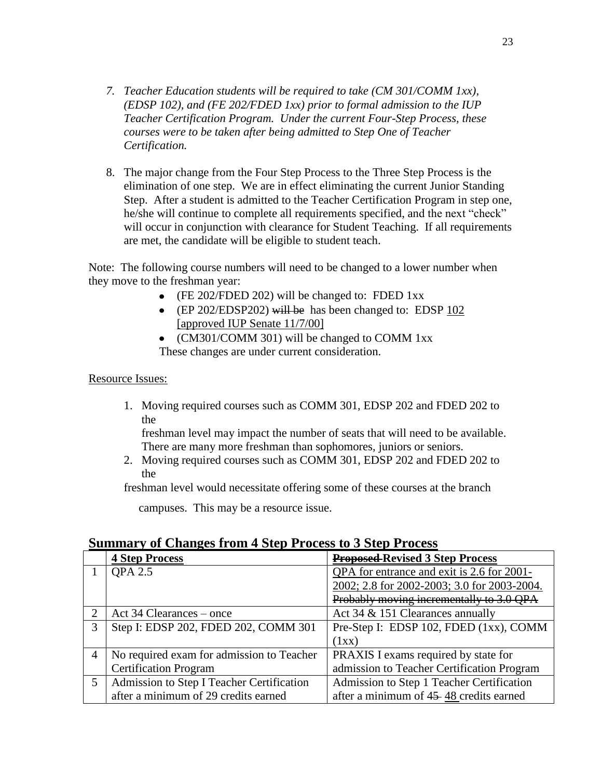- *7. Teacher Education students will be required to take (CM 301/COMM 1xx), (EDSP 102), and (FE 202/FDED 1xx) prior to formal admission to the IUP Teacher Certification Program. Under the current Four-Step Process, these courses were to be taken after being admitted to Step One of Teacher Certification.*
- 8. The major change from the Four Step Process to the Three Step Process is the elimination of one step. We are in effect eliminating the current Junior Standing Step. After a student is admitted to the Teacher Certification Program in step one, he/she will continue to complete all requirements specified, and the next "check" will occur in conjunction with clearance for Student Teaching. If all requirements are met, the candidate will be eligible to student teach.

Note: The following course numbers will need to be changed to a lower number when they move to the freshman year:

- (FE 202/FDED 202) will be changed to: FDED 1xx
- (EP 202/EDSP202) will be has been changed to: EDSP  $102$ [approved IUP Senate 11/7/00]
- (CM301/COMM 301) will be changed to COMM 1xx These changes are under current consideration.

### Resource Issues:

1. Moving required courses such as COMM 301, EDSP 202 and FDED 202 to the

freshman level may impact the number of seats that will need to be available. There are many more freshman than sophomores, juniors or seniors.

2. Moving required courses such as COMM 301, EDSP 202 and FDED 202 to the

freshman level would necessitate offering some of these courses at the branch

campuses. This may be a resource issue.

# **Summary of Changes from 4 Step Process to 3 Step Process**

|                | <b>4 Step Process</b>                     | <b>Proposed Revised 3 Step Process</b>      |
|----------------|-------------------------------------------|---------------------------------------------|
|                | QPA 2.5                                   | QPA for entrance and exit is 2.6 for 2001-  |
|                |                                           | 2002; 2.8 for 2002-2003; 3.0 for 2003-2004. |
|                |                                           | Probably moving incrementally to 3.0 QPA    |
| 2              | Act 34 Clearances – once                  | Act 34 & 151 Clearances annually            |
| 3              | Step I: EDSP 202, FDED 202, COMM 301      | Pre-Step I: EDSP 102, FDED (1xx), COMM      |
|                |                                           | (1xx)                                       |
| $\overline{4}$ | No required exam for admission to Teacher | PRAXIS I exams required by state for        |
|                | <b>Certification Program</b>              | admission to Teacher Certification Program  |
| $5^{\circ}$    | Admission to Step I Teacher Certification | Admission to Step 1 Teacher Certification   |
|                | after a minimum of 29 credits earned      | after a minimum of 45–48 credits earned     |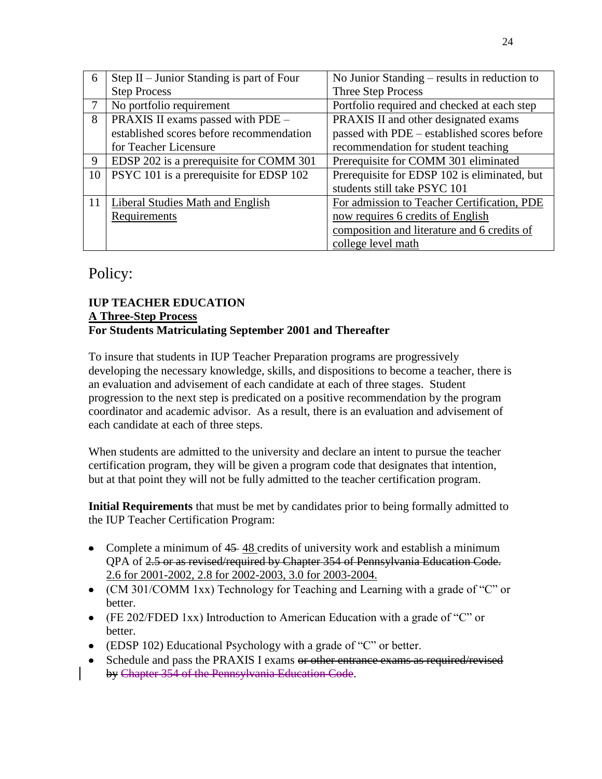| 6  | Step $II$ – Junior Standing is part of Four | No Junior Standing – results in reduction to |
|----|---------------------------------------------|----------------------------------------------|
|    | <b>Step Process</b>                         | Three Step Process                           |
|    | No portfolio requirement                    | Portfolio required and checked at each step  |
| 8  | PRAXIS II exams passed with PDE -           | PRAXIS II and other designated exams         |
|    | established scores before recommendation    | passed with PDE - established scores before  |
|    | for Teacher Licensure                       | recommendation for student teaching          |
| 9  | EDSP 202 is a prerequisite for COMM 301     | Prerequisite for COMM 301 eliminated         |
| 10 | PSYC 101 is a prerequisite for EDSP 102     | Prerequisite for EDSP 102 is eliminated, but |
|    |                                             | students still take PSYC 101                 |
| 11 | <b>Liberal Studies Math and English</b>     | For admission to Teacher Certification, PDE  |
|    | Requirements                                | now requires 6 credits of English            |
|    |                                             | composition and literature and 6 credits of  |
|    |                                             | college level math                           |

# Policy:

# **IUP TEACHER EDUCATION A Three-Step Process For Students Matriculating September 2001 and Thereafter**

To insure that students in IUP Teacher Preparation programs are progressively developing the necessary knowledge, skills, and dispositions to become a teacher, there is an evaluation and advisement of each candidate at each of three stages. Student progression to the next step is predicated on a positive recommendation by the program coordinator and academic advisor. As a result, there is an evaluation and advisement of each candidate at each of three steps.

When students are admitted to the university and declare an intent to pursue the teacher certification program, they will be given a program code that designates that intention, but at that point they will not be fully admitted to the teacher certification program.

**Initial Requirements** that must be met by candidates prior to being formally admitted to the IUP Teacher Certification Program:

- Complete a minimum of 45–48 credits of university work and establish a minimum QPA of 2.5 or as revised/required by Chapter 354 of Pennsylvania Education Code. 2.6 for 2001-2002, 2.8 for 2002-2003, 3.0 for 2003-2004.
- (CM 301/COMM 1xx) Technology for Teaching and Learning with a grade of "C" or better.
- (FE 202/FDED 1xx) Introduction to American Education with a grade of "C" or better.
- (EDSP 102) Educational Psychology with a grade of "C" or better.
- Schedule and pass the PRAXIS I exams or other entrance exams as required/revised by Chapter 354 of the Pennsylvania Education Code.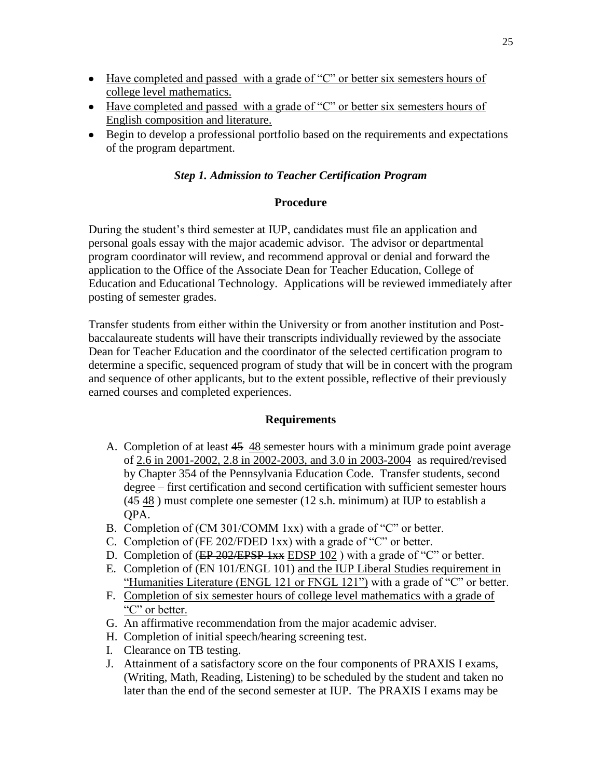- Have completed and passed with a grade of "C" or better six semesters hours of college level mathematics.
- Have completed and passed with a grade of "C" or better six semesters hours of English composition and literature.
- Begin to develop a professional portfolio based on the requirements and expectations of the program department.

# *Step 1. Admission to Teacher Certification Program*

# **Procedure**

During the student's third semester at IUP, candidates must file an application and personal goals essay with the major academic advisor. The advisor or departmental program coordinator will review, and recommend approval or denial and forward the application to the Office of the Associate Dean for Teacher Education, College of Education and Educational Technology. Applications will be reviewed immediately after posting of semester grades.

Transfer students from either within the University or from another institution and Postbaccalaureate students will have their transcripts individually reviewed by the associate Dean for Teacher Education and the coordinator of the selected certification program to determine a specific, sequenced program of study that will be in concert with the program and sequence of other applicants, but to the extent possible, reflective of their previously earned courses and completed experiences.

# **Requirements**

- A. Completion of at least 45 48 semester hours with a minimum grade point average of 2.6 in 2001-2002, 2.8 in 2002-2003, and 3.0 in 2003-2004 as required/revised by Chapter 354 of the Pennsylvania Education Code. Transfer students, second degree – first certification and second certification with sufficient semester hours (45 48 ) must complete one semester (12 s.h. minimum) at IUP to establish a QPA.
- B. Completion of (CM 301/COMM 1xx) with a grade of "C" or better.
- C. Completion of (FE 202/FDED 1xx) with a grade of "C" or better.
- D. Completion of (EP 202/EPSP 1xx EDSP 102) with a grade of "C" or better.
- E. Completion of (EN 101/ENGL 101) and the IUP Liberal Studies requirement in "Humanities Literature (ENGL 121 or FNGL 121") with a grade of "C" or better.
- F. Completion of six semester hours of college level mathematics with a grade of "C" or better.
- G. An affirmative recommendation from the major academic adviser.
- H. Completion of initial speech/hearing screening test.
- I. Clearance on TB testing.
- J. Attainment of a satisfactory score on the four components of PRAXIS I exams, (Writing, Math, Reading, Listening) to be scheduled by the student and taken no later than the end of the second semester at IUP. The PRAXIS I exams may be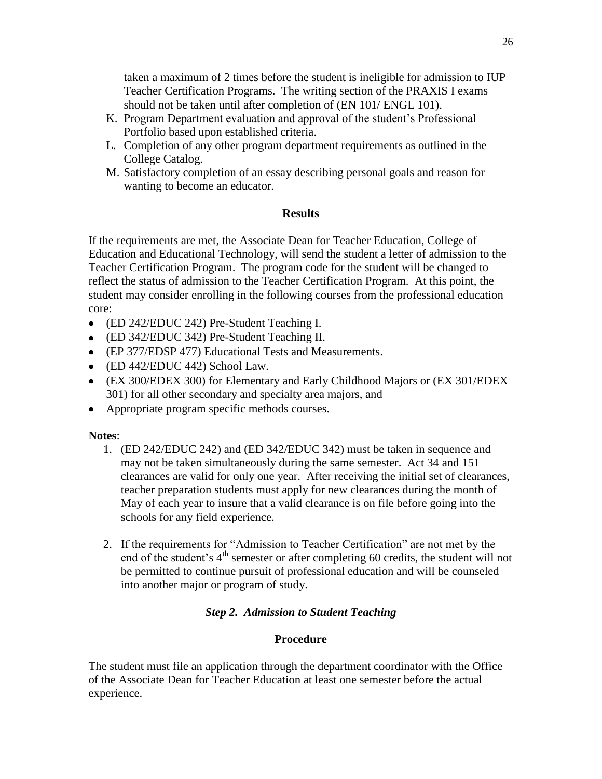taken a maximum of 2 times before the student is ineligible for admission to IUP Teacher Certification Programs. The writing section of the PRAXIS I exams should not be taken until after completion of (EN 101/ ENGL 101).

- K. Program Department evaluation and approval of the student's Professional Portfolio based upon established criteria.
- L. Completion of any other program department requirements as outlined in the College Catalog.
- M. Satisfactory completion of an essay describing personal goals and reason for wanting to become an educator.

# **Results**

If the requirements are met, the Associate Dean for Teacher Education, College of Education and Educational Technology, will send the student a letter of admission to the Teacher Certification Program. The program code for the student will be changed to reflect the status of admission to the Teacher Certification Program. At this point, the student may consider enrolling in the following courses from the professional education core:

- (ED 242/EDUC 242) Pre-Student Teaching I.
- (ED 342/EDUC 342) Pre-Student Teaching II.
- (EP 377/EDSP 477) Educational Tests and Measurements.
- (ED 442/EDUC 442) School Law.
- (EX 300/EDEX 300) for Elementary and Early Childhood Majors or (EX 301/EDEX 301) for all other secondary and specialty area majors, and
- Appropriate program specific methods courses.

# **Notes**:

- 1. (ED 242/EDUC 242) and (ED 342/EDUC 342) must be taken in sequence and may not be taken simultaneously during the same semester. Act 34 and 151 clearances are valid for only one year. After receiving the initial set of clearances, teacher preparation students must apply for new clearances during the month of May of each year to insure that a valid clearance is on file before going into the schools for any field experience.
- 2. If the requirements for "Admission to Teacher Certification" are not met by the end of the student's  $4<sup>th</sup>$  semester or after completing 60 credits, the student will not be permitted to continue pursuit of professional education and will be counseled into another major or program of study.

# *Step 2. Admission to Student Teaching*

# **Procedure**

The student must file an application through the department coordinator with the Office of the Associate Dean for Teacher Education at least one semester before the actual experience.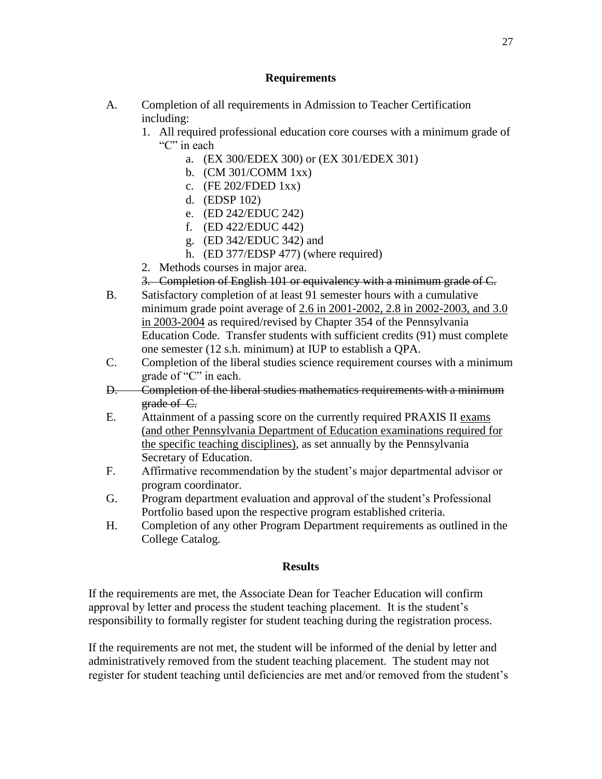# **Requirements**

- A. Completion of all requirements in Admission to Teacher Certification including:
	- 1. All required professional education core courses with a minimum grade of "C" in each
		- a. (EX 300/EDEX 300) or (EX 301/EDEX 301)
		- b. (CM 301/COMM 1xx)
		- c. (FE 202/FDED 1xx)
		- d. (EDSP 102)
		- e. (ED 242/EDUC 242)
		- f. (ED 422/EDUC 442)
		- g. (ED 342/EDUC 342) and
		- h. (ED 377/EDSP 477) (where required)
	- 2. Methods courses in major area.
	- 3. Completion of English 101 or equivalency with a minimum grade of C.
- B. Satisfactory completion of at least 91 semester hours with a cumulative minimum grade point average of 2.6 in 2001-2002, 2.8 in 2002-2003, and 3.0 in 2003-2004 as required/revised by Chapter 354 of the Pennsylvania Education Code. Transfer students with sufficient credits (91) must complete one semester (12 s.h. minimum) at IUP to establish a QPA.
- C. Completion of the liberal studies science requirement courses with a minimum grade of "C" in each.
- D. Completion of the liberal studies mathematics requirements with a minimum grade of C.
- E. Attainment of a passing score on the currently required PRAXIS II exams (and other Pennsylvania Department of Education examinations required for the specific teaching disciplines), as set annually by the Pennsylvania Secretary of Education.
- F. Affirmative recommendation by the student's major departmental advisor or program coordinator.
- G. Program department evaluation and approval of the student's Professional Portfolio based upon the respective program established criteria.
- H. Completion of any other Program Department requirements as outlined in the College Catalog.

# **Results**

If the requirements are met, the Associate Dean for Teacher Education will confirm approval by letter and process the student teaching placement. It is the student's responsibility to formally register for student teaching during the registration process.

If the requirements are not met, the student will be informed of the denial by letter and administratively removed from the student teaching placement. The student may not register for student teaching until deficiencies are met and/or removed from the student's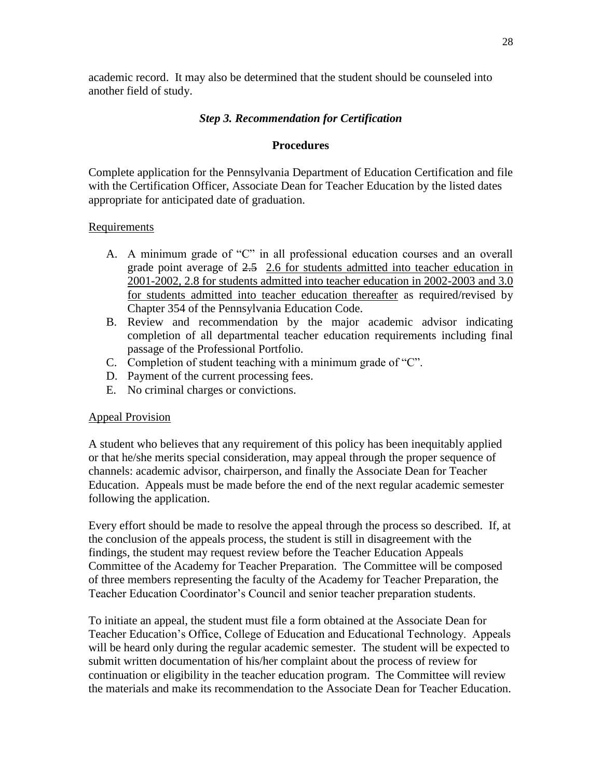academic record. It may also be determined that the student should be counseled into another field of study.

# *Step 3. Recommendation for Certification*

# **Procedures**

Complete application for the Pennsylvania Department of Education Certification and file with the Certification Officer, Associate Dean for Teacher Education by the listed dates appropriate for anticipated date of graduation.

# **Requirements**

- A. A minimum grade of "C" in all professional education courses and an overall grade point average of 2.5 2.6 for students admitted into teacher education in 2001-2002, 2.8 for students admitted into teacher education in 2002-2003 and 3.0 for students admitted into teacher education thereafter as required/revised by Chapter 354 of the Pennsylvania Education Code.
- B. Review and recommendation by the major academic advisor indicating completion of all departmental teacher education requirements including final passage of the Professional Portfolio.
- C. Completion of student teaching with a minimum grade of "C".
- D. Payment of the current processing fees.
- E. No criminal charges or convictions.

# Appeal Provision

A student who believes that any requirement of this policy has been inequitably applied or that he/she merits special consideration, may appeal through the proper sequence of channels: academic advisor, chairperson, and finally the Associate Dean for Teacher Education. Appeals must be made before the end of the next regular academic semester following the application.

Every effort should be made to resolve the appeal through the process so described. If, at the conclusion of the appeals process, the student is still in disagreement with the findings, the student may request review before the Teacher Education Appeals Committee of the Academy for Teacher Preparation. The Committee will be composed of three members representing the faculty of the Academy for Teacher Preparation, the Teacher Education Coordinator's Council and senior teacher preparation students.

To initiate an appeal, the student must file a form obtained at the Associate Dean for Teacher Education's Office, College of Education and Educational Technology. Appeals will be heard only during the regular academic semester. The student will be expected to submit written documentation of his/her complaint about the process of review for continuation or eligibility in the teacher education program. The Committee will review the materials and make its recommendation to the Associate Dean for Teacher Education.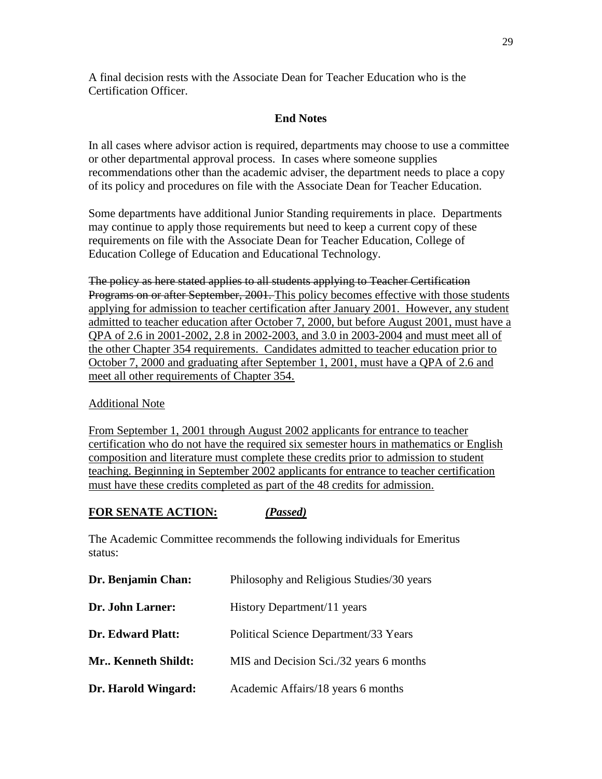A final decision rests with the Associate Dean for Teacher Education who is the Certification Officer.

# **End Notes**

In all cases where advisor action is required, departments may choose to use a committee or other departmental approval process. In cases where someone supplies recommendations other than the academic adviser, the department needs to place a copy of its policy and procedures on file with the Associate Dean for Teacher Education.

Some departments have additional Junior Standing requirements in place. Departments may continue to apply those requirements but need to keep a current copy of these requirements on file with the Associate Dean for Teacher Education, College of Education College of Education and Educational Technology.

The policy as here stated applies to all students applying to Teacher Certification Programs on or after September, 2001. This policy becomes effective with those students applying for admission to teacher certification after January 2001. However, any student admitted to teacher education after October 7, 2000, but before August 2001, must have a QPA of 2.6 in 2001-2002, 2.8 in 2002-2003, and 3.0 in 2003-2004 and must meet all of the other Chapter 354 requirements. Candidates admitted to teacher education prior to October 7, 2000 and graduating after September 1, 2001, must have a QPA of 2.6 and meet all other requirements of Chapter 354.

# Additional Note

From September 1, 2001 through August 2002 applicants for entrance to teacher certification who do not have the required six semester hours in mathematics or English composition and literature must complete these credits prior to admission to student teaching. Beginning in September 2002 applicants for entrance to teacher certification must have these credits completed as part of the 48 credits for admission.

# **FOR SENATE ACTION:** *(Passed)*

The Academic Committee recommends the following individuals for Emeritus status:

| Dr. Benjamin Chan:       | Philosophy and Religious Studies/30 years |
|--------------------------|-------------------------------------------|
| Dr. John Larner:         | History Department/11 years               |
| <b>Dr. Edward Platt:</b> | Political Science Department/33 Years     |
| Mr., Kenneth Shildt:     | MIS and Decision Sci./32 years 6 months   |
| Dr. Harold Wingard:      | Academic Affairs/18 years 6 months        |